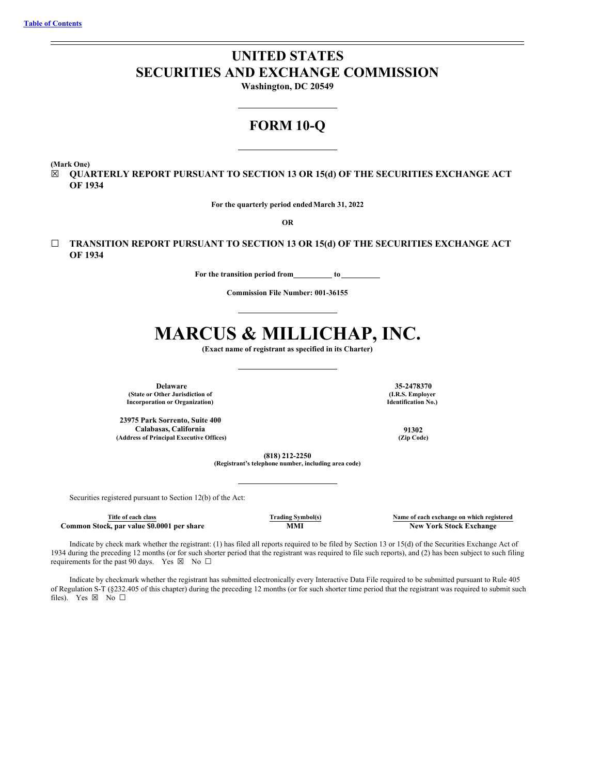# **UNITED STATES SECURITIES AND EXCHANGE COMMISSION**

**Washington, DC 20549**

# **FORM 10-Q**

**(Mark One)**

☒ **QUARTERLY REPORT PURSUANT TO SECTION 13 OR 15(d) OF THE SECURITIES EXCHANGE ACT OF 1934**

**For the quarterly period endedMarch 31, 2022**

**OR**

☐ **TRANSITION REPORT PURSUANT TO SECTION 13 OR 15(d) OF THE SECURITIES EXCHANGE ACT OF 1934**

**For the transition period from to**

**Commission File Number: 001-36155**

# **MARCUS & MILLICHAP, INC.**

**(Exact name of registrant as specified in its Charter)**

**Delaware 35-2478370 (State or Other Jurisdiction of Incorporation or Organization)**

**23975 Park Sorrento, Suite 400 Calabasas, California 91302 (Address of Principal Executive Offices) (Zip Code)**

**(I.R.S. Employer Identification No.)**

**(818) 212-2250 (Registrant's telephone number, including area code)**

Securities registered pursuant to Section 12(b) of the Act:

**Common** Stock, par value \$0.0001 per share **MMI MMI New York** Stock **Exchange** 

**Title of each class Trading Symbol(s) Name of each exchange on which registered**

Indicate by check mark whether the registrant: (1) has filed all reports required to be filed by Section 13 or 15(d) of the Securities Exchange Act of 1934 during the preceding 12 months (or for such shorter period that the registrant was required to file such reports), and (2) has been subject to such filing requirements for the past 90 days. Yes  $\boxtimes$  No  $\Box$ 

Indicate by checkmark whether the registrant has submitted electronically every Interactive Data File required to be submitted pursuant to Rule 405 of Regulation S-T (§232.405 of this chapter) during the preceding 12 months (or for such shorter time period that the registrant was required to submit such files). Yes ⊠ No □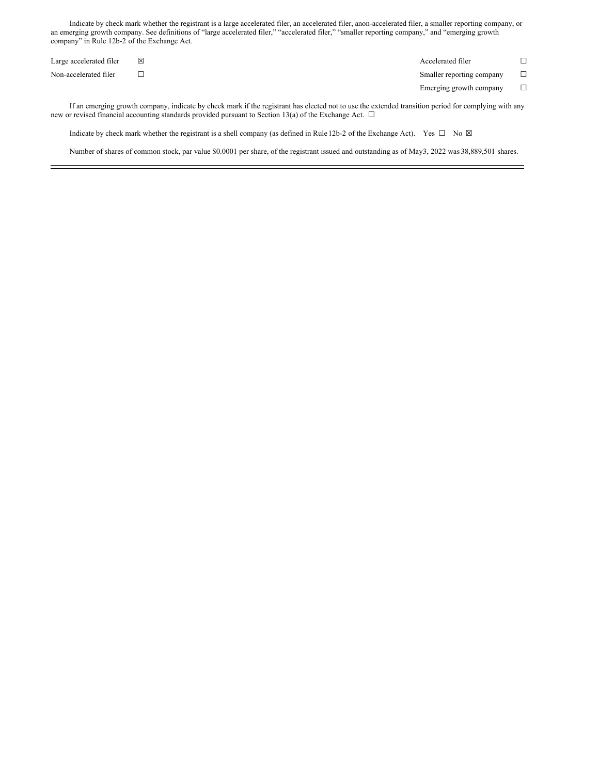Indicate by check mark whether the registrant is a large accelerated filer, an accelerated filer, anon-accelerated filer, a smaller reporting company, or an emerging growth company. See definitions of "large accelerated filer," "accelerated filer," "smaller reporting company," and "emerging growth company" in Rule 12b-2 of the Exchange Act.

| Large accelerated filer | ⊠ | Accelerated filer         |  |
|-------------------------|---|---------------------------|--|
| Non-accelerated filer   |   | Smaller reporting company |  |
|                         |   | Emerging growth company   |  |

If an emerging growth company, indicate by check mark if the registrant has elected not to use the extended transition period for complying with any new or revised financial accounting standards provided pursuant to Section 13(a) of the Exchange Act. □

Indicate by check mark whether the registrant is a shell company (as defined in Rule 12b-2 of the Exchange Act). Yes  $\Box$  No  $\boxtimes$ 

Number of shares of common stock, par value \$0.0001 per share, of the registrant issued and outstanding as of May3, 2022 was 38,889,501 shares.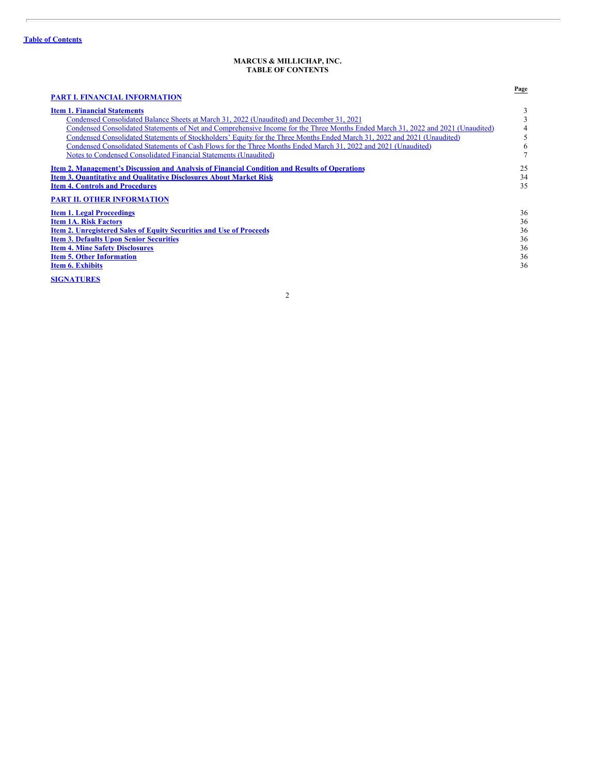# **MARCUS & MILLICHAP, INC. TABLE OF CONTENTS**

# <span id="page-2-0"></span>**PART I. FINANCIAL [INFORMATION](#page-3-0)**

**Item 1. Financial [Statements](#page-3-1)** 3 Condensed [Consolidated](#page-3-2) Balance Sheets at March 31, 2022 (Unaudited) and December 31, 2021 3 Condensed Consolidated Statements of Net and [Comprehensive](#page-4-0) Income for the Three Months Ended March 31, 2022 and 2021 (Unaudited) 4

**Page**

| Condensed Consolidated Statements of Stockholders' Equity for the Three Months Ended March 31, 2022 and 2021 (Unaudited) |    |
|--------------------------------------------------------------------------------------------------------------------------|----|
| Condensed Consolidated Statements of Cash Flows for the Three Months Ended March 31, 2022 and 2021 (Unaudited)           | 6  |
| Notes to Condensed Consolidated Financial Statements (Unaudited)                                                         |    |
| <b>Item 2. Management's Discussion and Analysis of Financial Condition and Results of Operations</b>                     | 25 |
| <b>Item 3. Quantitative and Qualitative Disclosures About Market Risk</b>                                                | 34 |
| <b>Item 4. Controls and Procedures</b>                                                                                   | 35 |
| <b>PART II. OTHER INFORMATION</b>                                                                                        |    |
| <b>Item 1. Legal Proceedings</b>                                                                                         | 36 |
| <b>Item 1A. Risk Factors</b>                                                                                             | 36 |
| <b>Item 2. Unregistered Sales of Equity Securities and Use of Proceeds</b>                                               | 36 |
| <b>Item 3. Defaults Upon Senior Securities</b>                                                                           | 36 |
| <b>Item 4. Mine Safety Disclosures</b>                                                                                   | 36 |
| <b>Item 5. Other Information</b>                                                                                         | 36 |
| <b>Item 6. Exhibits</b>                                                                                                  | 36 |
|                                                                                                                          |    |

**[SIGNATURES](#page-37-0)**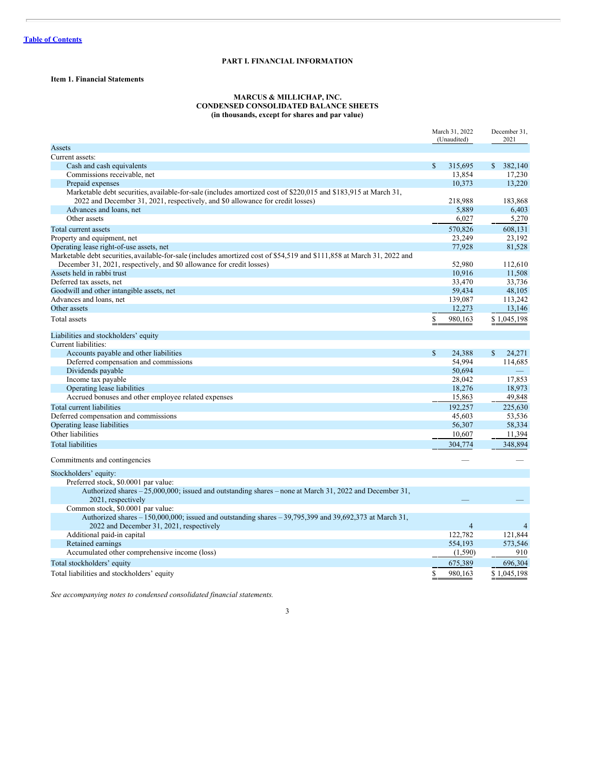# **PART I. FINANCIAL INFORMATION**

# <span id="page-3-2"></span><span id="page-3-1"></span><span id="page-3-0"></span>**Item 1. Financial Statements**

# **MARCUS & MILLICHAP, INC. CONDENSED CONSOLIDATED BALANCE SHEETS (in thousands, except for shares and par value)**

|                                                                                                                                                     |              | March 31, 2022<br>(Unaudited) |              | December 31,<br>2021 |
|-----------------------------------------------------------------------------------------------------------------------------------------------------|--------------|-------------------------------|--------------|----------------------|
| Assets                                                                                                                                              |              |                               |              |                      |
| Current assets:                                                                                                                                     |              |                               |              |                      |
| Cash and cash equivalents                                                                                                                           | \$           | 315,695                       | $\mathbb{S}$ | 382,140              |
| Commissions receivable, net                                                                                                                         |              | 13,854                        |              | 17,230               |
| Prepaid expenses                                                                                                                                    |              | 10,373                        |              | 13,220               |
| Marketable debt securities, available-for-sale (includes amortized cost of \$220,015 and \$183,915 at March 31,                                     |              |                               |              |                      |
| 2022 and December 31, 2021, respectively, and \$0 allowance for credit losses)                                                                      |              | 218,988                       |              | 183,868              |
| Advances and loans, net                                                                                                                             |              | 5,889                         |              | 6,403                |
| Other assets                                                                                                                                        |              | 6,027                         |              | 5,270                |
| Total current assets                                                                                                                                |              | 570,826                       |              | 608,131              |
| Property and equipment, net                                                                                                                         |              | 23,249                        |              | 23,192               |
| Operating lease right-of-use assets, net                                                                                                            |              | 77,928                        |              | 81,528               |
| Marketable debt securities, available-for-sale (includes amortized cost of \$54,519 and \$111,858 at March 31, 2022 and                             |              |                               |              |                      |
| December 31, 2021, respectively, and \$0 allowance for credit losses)                                                                               |              | 52,980                        |              | 112,610              |
| Assets held in rabbi trust                                                                                                                          |              | 10,916                        |              | 11,508               |
| Deferred tax assets, net                                                                                                                            |              | 33,470                        |              | 33,736               |
| Goodwill and other intangible assets, net                                                                                                           |              | 59,434                        |              | 48,105               |
| Advances and loans, net                                                                                                                             |              | 139,087                       |              | 113,242              |
| Other assets                                                                                                                                        |              | 12,273                        |              | 13,146               |
|                                                                                                                                                     |              |                               |              |                      |
| Total assets                                                                                                                                        | \$           | 980,163                       |              | \$1,045,198          |
| Liabilities and stockholders' equity                                                                                                                |              |                               |              |                      |
| Current liabilities:                                                                                                                                |              |                               |              |                      |
| Accounts payable and other liabilities                                                                                                              | $\mathbb{S}$ | 24,388                        | $\mathbb{S}$ | 24,271               |
| Deferred compensation and commissions                                                                                                               |              | 54,994                        |              | 114,685              |
| Dividends payable                                                                                                                                   |              | 50,694                        |              |                      |
| Income tax payable                                                                                                                                  |              | 28,042                        |              | 17,853               |
| Operating lease liabilities                                                                                                                         |              | 18,276                        |              | 18,973               |
| Accrued bonuses and other employee related expenses                                                                                                 |              | 15,863                        |              | 49,848               |
| Total current liabilities                                                                                                                           |              | 192,257                       |              | 225,630              |
| Deferred compensation and commissions                                                                                                               |              | 45,603                        |              | 53,536               |
| Operating lease liabilities                                                                                                                         |              | 56,307                        |              | 58,334               |
| Other liabilities                                                                                                                                   |              | 10,607                        |              | 11,394               |
|                                                                                                                                                     |              |                               |              |                      |
| <b>Total liabilities</b>                                                                                                                            |              | 304,774                       |              | 348,894              |
| Commitments and contingencies                                                                                                                       |              |                               |              |                      |
| Stockholders' equity:                                                                                                                               |              |                               |              |                      |
| Preferred stock, \$0.0001 par value:                                                                                                                |              |                               |              |                      |
| Authorized shares - 25,000,000; issued and outstanding shares - none at March 31, 2022 and December 31,<br>2021, respectively                       |              |                               |              |                      |
| Common stock, \$0.0001 par value:                                                                                                                   |              |                               |              |                      |
| Authorized shares - 150,000,000; issued and outstanding shares - 39,795,399 and 39,692,373 at March 31,<br>2022 and December 31, 2021, respectively |              | $\overline{4}$                |              | 4                    |
| Additional paid-in capital                                                                                                                          |              | 122,782                       |              | 121,844              |
| Retained earnings                                                                                                                                   |              | 554,193                       |              | 573,546              |
| Accumulated other comprehensive income (loss)                                                                                                       |              | (1,590)                       |              | 910                  |
|                                                                                                                                                     |              |                               |              |                      |
| Total stockholders' equity                                                                                                                          |              | 675,389                       |              | 696,304              |
| Total liabilities and stockholders' equity                                                                                                          | \$           | 980.163                       |              | \$1,045,198          |

*See accompanying notes to condensed consolidated financial statements.*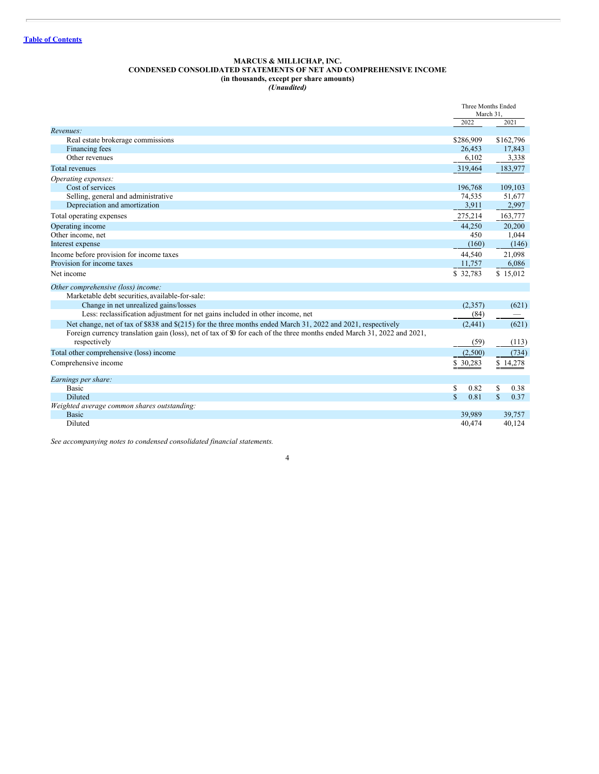# **MARCUS & MILLICHAP, INC. CONDENSED CONSOLIDATED STATEMENTS OF NET AND COMPREHENSIVE INCOME (in thousands, except per share amounts)** *(Unaudited)*

<span id="page-4-0"></span>

|                                                                                                                         |                     | Three Months Ended   |
|-------------------------------------------------------------------------------------------------------------------------|---------------------|----------------------|
|                                                                                                                         |                     | March 31.            |
|                                                                                                                         | 2022                | 2021                 |
| Revenues:                                                                                                               |                     |                      |
| Real estate brokerage commissions                                                                                       | \$286,909           | \$162,796            |
| Financing fees                                                                                                          | 26,453              | 17,843               |
| Other revenues                                                                                                          | 6,102               | 3,338                |
| <b>Total revenues</b>                                                                                                   | 319,464             | 183,977              |
| Operating expenses:                                                                                                     |                     |                      |
| Cost of services                                                                                                        | 196,768             | 109,103              |
| Selling, general and administrative                                                                                     | 74,535              | 51,677               |
| Depreciation and amortization                                                                                           | 3,911               | 2,997                |
| Total operating expenses                                                                                                | 275,214             | 163,777              |
| Operating income                                                                                                        | 44,250              | 20,200               |
| Other income, net                                                                                                       | 450                 | 1,044                |
| Interest expense                                                                                                        | (160)               | (146)                |
| Income before provision for income taxes                                                                                | 44,540              | 21,098               |
| Provision for income taxes                                                                                              | 11,757              | 6,086                |
| Net income                                                                                                              | \$32,783            | \$15,012             |
| Other comprehensive (loss) income:                                                                                      |                     |                      |
| Marketable debt securities, available-for-sale:                                                                         |                     |                      |
| Change in net unrealized gains/losses                                                                                   | (2,357)             | (621)                |
| Less: reclassification adjustment for net gains included in other income, net                                           | (84)                |                      |
| Net change, net of tax of \$838 and \$(215) for the three months ended March 31, 2022 and 2021, respectively            | (2,441)             | (621)                |
| Foreign currency translation gain (loss), net of tax of \$0 for each of the three months ended March 31, 2022 and 2021, |                     |                      |
| respectively                                                                                                            | (59)                | (113)                |
| Total other comprehensive (loss) income                                                                                 | (2,500)             | (734)                |
| Comprehensive income                                                                                                    | \$ 30,283           | \$14,278             |
| Earnings per share:                                                                                                     |                     |                      |
| <b>Basic</b>                                                                                                            | S<br>0.82           | 0.38<br>\$           |
| Diluted                                                                                                                 | $\mathbf S$<br>0.81 | $\mathbb{S}$<br>0.37 |
| Weighted average common shares outstanding:                                                                             |                     |                      |
| <b>Basic</b>                                                                                                            | 39,989              | 39,757               |
| Diluted                                                                                                                 | 40,474              | 40,124               |

4

*See accompanying notes to condensed consolidated financial statements.*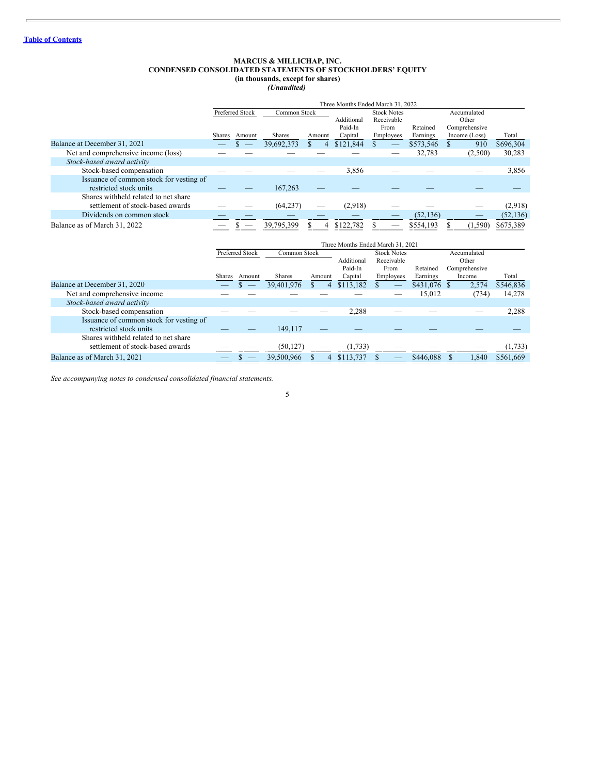# **MARCUS & MILLICHAP, INC. CONDENSED CONSOLIDATED STATEMENTS OF STOCKHOLDERS' EQUITY (in thousands, except for shares)**

*(Unaudited)*

<span id="page-5-0"></span>

|                                                                   |        |                 |               |        | Three Months Ended March 31, 2022 |                                 |                      |                                         |           |
|-------------------------------------------------------------------|--------|-----------------|---------------|--------|-----------------------------------|---------------------------------|----------------------|-----------------------------------------|-----------|
|                                                                   |        | Preferred Stock | Common Stock  |        |                                   | <b>Stock Notes</b>              |                      | Accumulated                             |           |
|                                                                   | Shares | Amount          | <b>Shares</b> | Amount | Additional<br>Paid-In<br>Capital  | Receivable<br>From<br>Employees | Retained<br>Earnings | Other<br>Comprehensive<br>Income (Loss) | Total     |
| Balance at December 31, 2021                                      |        |                 | 39.692.373    | 4      | \$121,844                         |                                 | \$573,546            | 910                                     | \$696,304 |
| Net and comprehensive income (loss)                               |        |                 |               |        |                                   |                                 | 32,783               | (2,500)                                 | 30,283    |
| Stock-based award activity                                        |        |                 |               |        |                                   |                                 |                      |                                         |           |
| Stock-based compensation                                          |        |                 |               |        | 3,856                             |                                 |                      |                                         | 3,856     |
| Issuance of common stock for vesting of<br>restricted stock units |        |                 | 167,263       |        |                                   |                                 |                      |                                         |           |
| Shares withheld related to net share                              |        |                 |               |        |                                   |                                 |                      |                                         |           |
| settlement of stock-based awards                                  |        |                 | (64, 237)     |        | (2,918)                           |                                 |                      |                                         | (2,918)   |
| Dividends on common stock                                         |        |                 |               |        |                                   |                                 | (52, 136)            |                                         | (52, 136) |
| Balance as of March 31, 2022                                      |        |                 | 39.795.399    |        | \$122,782                         |                                 | \$554,193            | (1,590)                                 | \$675,389 |

|                                         | Three Months Ended March 31, 2021 |                 |               |        |            |                    |              |               |           |
|-----------------------------------------|-----------------------------------|-----------------|---------------|--------|------------|--------------------|--------------|---------------|-----------|
|                                         |                                   | Preferred Stock | Common Stock  |        |            | <b>Stock Notes</b> |              | Accumulated   |           |
|                                         |                                   |                 |               |        | Additional | Receivable         |              | Other         |           |
|                                         |                                   |                 |               |        | Paid-In    | From               | Retained     | Comprehensive |           |
|                                         | Shares                            | Amount          | <b>Shares</b> | Amount | Capital    | Employees          | Earnings     | Income        | Total     |
| Balance at December 31, 2020            |                                   |                 | 39,401,976    | 4      | \$113.182  |                    | \$431,076 \$ | 2,574         | \$546,836 |
| Net and comprehensive income            |                                   |                 |               |        |            |                    | 15,012       | (734)         | 14,278    |
| Stock-based award activity              |                                   |                 |               |        |            |                    |              |               |           |
| Stock-based compensation                |                                   |                 |               |        | 2,288      |                    |              |               | 2,288     |
| Issuance of common stock for vesting of |                                   |                 |               |        |            |                    |              |               |           |
| restricted stock units                  |                                   |                 | 149,117       |        |            |                    |              |               |           |
| Shares withheld related to net share    |                                   |                 |               |        |            |                    |              |               |           |
| settlement of stock-based awards        |                                   |                 | (50, 127)     |        | (1,733)    |                    |              |               | (1,733)   |
| Balance as of March 31, 2021            |                                   |                 | 39,500,966    | 4      | \$113,737  |                    | \$446,088    | 1.840         | \$561,669 |

*See accompanying notes to condensed consolidated financial statements.*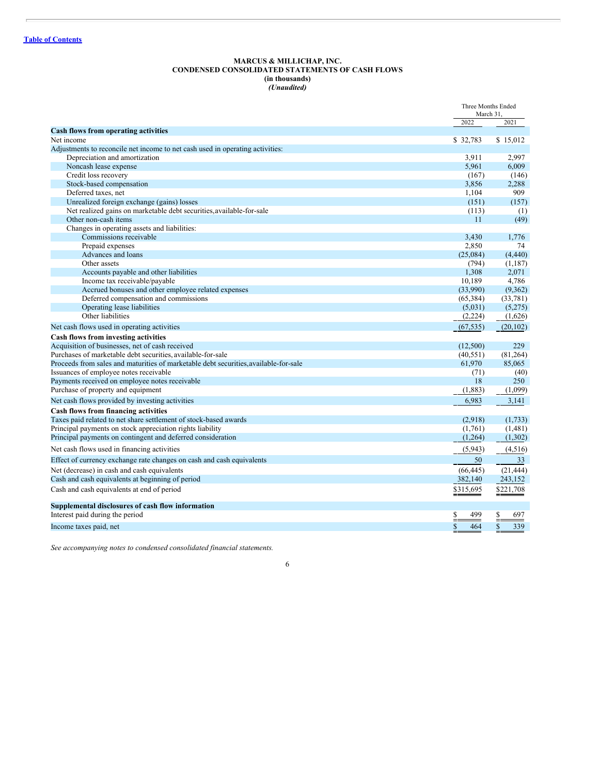# **MARCUS & MILLICHAP, INC. CONDENSED CONSOLIDATED STATEMENTS OF CASH FLOWS (in thousands)** *(Unaudited)*

<span id="page-6-0"></span>

|                                                                                      | Three Months Ended<br>March 31. |                     |
|--------------------------------------------------------------------------------------|---------------------------------|---------------------|
|                                                                                      | 2022                            | 2021                |
| <b>Cash flows from operating activities</b>                                          |                                 |                     |
| Net income                                                                           | \$ 32,783                       | \$15,012            |
| Adjustments to reconcile net income to net cash used in operating activities:        |                                 |                     |
| Depreciation and amortization<br>Noncash lease expense                               | 3,911<br>5,961                  | 2,997<br>6,009      |
| Credit loss recovery                                                                 | (167)                           | (146)               |
| Stock-based compensation                                                             | 3,856                           | 2,288               |
| Deferred taxes, net                                                                  | 1,104                           | 909                 |
| Unrealized foreign exchange (gains) losses                                           | (151)                           | (157)               |
| Net realized gains on marketable debt securities, available-for-sale                 | (113)                           | (1)                 |
| Other non-cash items                                                                 | 11                              | (49)                |
| Changes in operating assets and liabilities:                                         |                                 |                     |
| Commissions receivable                                                               | 3,430                           | 1,776               |
| Prepaid expenses                                                                     | 2,850                           | 74                  |
| Advances and loans                                                                   | (25,084)                        | (4, 440)            |
| Other assets                                                                         | (794)                           | (1, 187)            |
| Accounts payable and other liabilities<br>Income tax receivable/payable              | 1,308<br>10,189                 | 2,071<br>4,786      |
| Accrued bonuses and other employee related expenses                                  | (33,990)                        | (9,362)             |
| Deferred compensation and commissions                                                | (65, 384)                       | (33, 781)           |
| Operating lease liabilities                                                          | (5,031)                         | (5,275)             |
| Other liabilities                                                                    | (2,224)                         | (1,626)             |
| Net cash flows used in operating activities                                          | (67, 535)                       | (20, 102)           |
| Cash flows from investing activities                                                 |                                 |                     |
| Acquisition of businesses, net of cash received                                      | (12,500)                        | 229                 |
| Purchases of marketable debt securities, available-for-sale                          | (40, 551)                       | (81, 264)           |
| Proceeds from sales and maturities of marketable debt securities, available-for-sale | 61,970                          | 85,065              |
| Issuances of employee notes receivable                                               | (71)                            | (40)                |
| Payments received on employee notes receivable                                       | 18                              | 250                 |
| Purchase of property and equipment                                                   | (1, 883)                        | (1,099)             |
| Net cash flows provided by investing activities                                      | 6,983                           | 3,141               |
| Cash flows from financing activities                                                 |                                 |                     |
| Taxes paid related to net share settlement of stock-based awards                     | (2,918)                         | (1,733)             |
| Principal payments on stock appreciation rights liability                            | (1,761)                         | (1,481)             |
| Principal payments on contingent and deferred consideration                          | (1,264)                         | (1,302)             |
| Net cash flows used in financing activities                                          | (5,943)                         | (4,516)             |
| Effect of currency exchange rate changes on cash and cash equivalents                | 50                              | 33                  |
| Net (decrease) in cash and cash equivalents                                          | (66, 445)                       | (21, 444)           |
| Cash and cash equivalents at beginning of period                                     | 382,140                         | 243,152             |
| Cash and cash equivalents at end of period                                           | \$315,695                       | \$221,708           |
| Supplemental disclosures of cash flow information                                    |                                 |                     |
| Interest paid during the period                                                      | 499<br>\$<br>÷                  | 697<br>\$           |
| Income taxes paid, net                                                               | $\mathbb{S}$<br>464             | $\mathbb{S}$<br>339 |

*See accompanying notes to condensed consolidated financial statements.*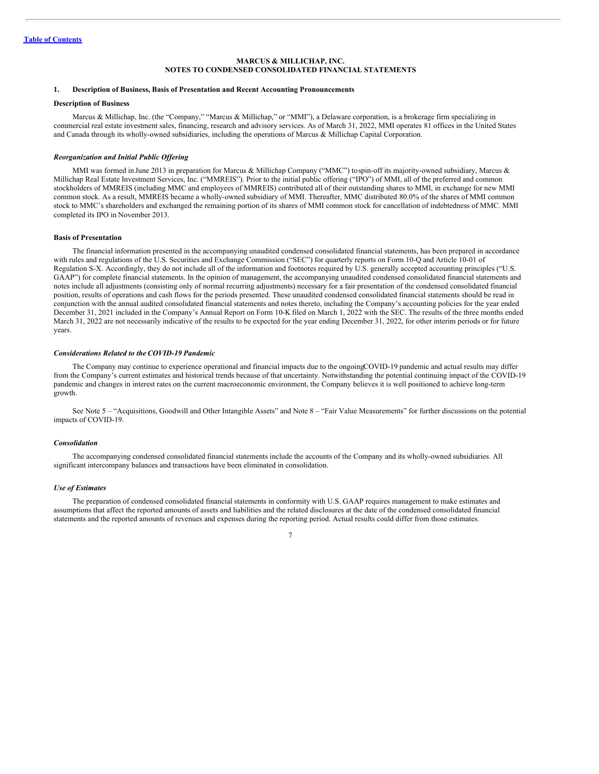# <span id="page-7-0"></span>**1. Description of Business, Basis of Presentation and Recent Accounting Pronouncements**

#### **Description of Business**

Marcus & Millichap, Inc. (the "Company," "Marcus & Millichap," or "MMI"), a Delaware corporation, is a brokerage firm specializing in commercial real estate investment sales, financing, research and advisory services. As of March 31, 2022, MMI operates 81 offices in the United States and Canada through its wholly-owned subsidiaries, including the operations of Marcus & Millichap Capital Corporation.

#### *Reorganization and Initial Public Of ering*

MMI was formed in June 2013 in preparation for Marcus & Millichap Company ("MMC") tospin-off its majority-owned subsidiary, Marcus & Millichap Real Estate Investment Services, Inc. ("MMREIS"). Prior to the initial public offering ("IPO") of MMI, all of the preferred and common stockholders of MMREIS (including MMC and employees of MMREIS) contributed all of their outstanding shares to MMI, in exchange for new MMI common stock. As a result, MMREIS became a wholly-owned subsidiary of MMI. Thereafter, MMC distributed 80.0% of the shares of MMI common stock to MMC's shareholders and exchanged the remaining portion of its shares of MMI common stock for cancellation of indebtedness of MMC. MMI completed its IPO in November 2013.

#### **Basis of Presentation**

The financial information presented in the accompanying unaudited condensed consolidated financial statements, has been prepared in accordance with rules and regulations of the U.S. Securities and Exchange Commission ("SEC") for quarterly reports on Form 10-Q and Article 10-01 of Regulation S-X. Accordingly, they do not include all of the information and footnotes required by U.S. generally accepted accounting principles ("U.S. GAAP") for complete financial statements. In the opinion of management, the accompanying unaudited condensed consolidated financial statements and notes include all adjustments (consisting only of normal recurring adjustments) necessary for a fair presentation of the condensed consolidated financial position, results of operations and cash flows for the periods presented. These unaudited condensed consolidated financial statements should be read in conjunction with the annual audited consolidated financial statements and notes thereto, including the Company's accounting policies for the year ended December 31, 2021 included in the Company's Annual Report on Form 10-K filed on March 1, 2022 with the SEC. The results of the three months ended March 31, 2022 are not necessarily indicative of the results to be expected for the year ending December 31, 2022, for other interim periods or for future years.

# *Considerations Related to the COVID-19 Pandemic*

The Company may continue to experience operational and financial impacts due to the ongoingCOVID-19 pandemic and actual results may differ from the Company's current estimates and historical trends because of that uncertainty. Notwithstanding the potential continuing impact of the COVID-19 pandemic and changes in interest rates on the current macroeconomic environment, the Company believes it is well positioned to achieve long-term growth.

See Note 5 – "Acquisitions, Goodwill and Other Intangible Assets" and Note 8 – "Fair Value Measurements" for further discussions on the potential impacts of COVID-19.

#### *Consolidation*

The accompanying condensed consolidated financial statements include the accounts of the Company and its wholly-owned subsidiaries. All significant intercompany balances and transactions have been eliminated in consolidation.

# *Use of Estimates*

The preparation of condensed consolidated financial statements in conformity with U.S. GAAP requires management to make estimates and assumptions that affect the reported amounts of assets and liabilities and the related disclosures at the date of the condensed consolidated financial statements and the reported amounts of revenues and expenses during the reporting period. Actual results could differ from those estimates.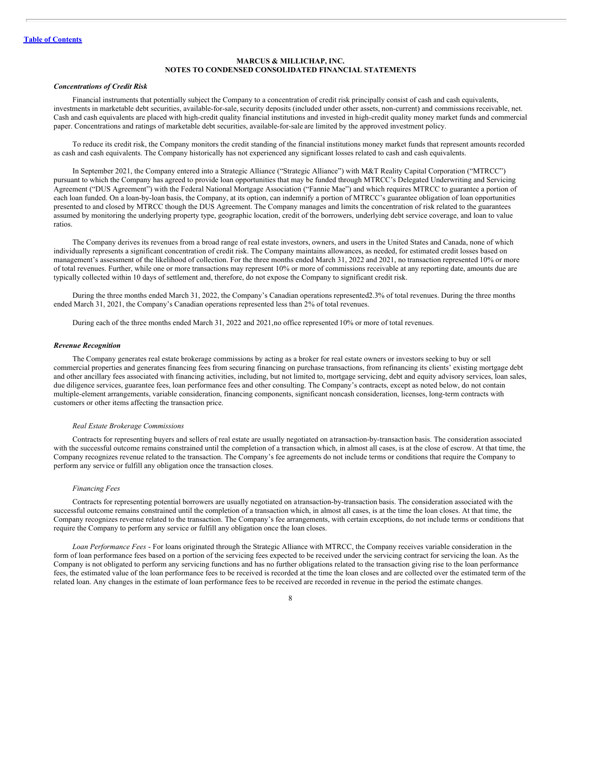#### *Concentrations of Credit Risk*

Financial instruments that potentially subject the Company to a concentration of credit risk principally consist of cash and cash equivalents, investments in marketable debt securities, available-for-sale, security deposits (included under other assets, non-current) and commissions receivable, net. Cash and cash equivalents are placed with high-credit quality financial institutions and invested in high-credit quality money market funds and commercial paper. Concentrations and ratings of marketable debt securities, available-for-sale are limited by the approved investment policy.

To reduce its credit risk, the Company monitors the credit standing of the financial institutions money market funds that represent amounts recorded as cash and cash equivalents. The Company historically has not experienced any significant losses related to cash and cash equivalents.

In September 2021, the Company entered into a Strategic Alliance ("Strategic Alliance") with M&T Reality Capital Corporation ("MTRCC") pursuant to which the Company has agreed to provide loan opportunities that may be funded through MTRCC's Delegated Underwriting and Servicing Agreement ("DUS Agreement") with the Federal National Mortgage Association ("Fannie Mae") and which requires MTRCC to guarantee a portion of each loan funded. On a loan-by-loan basis, the Company, at its option, can indemnify a portion of MTRCC's guarantee obligation of loan opportunities presented to and closed by MTRCC though the DUS Agreement. The Company manages and limits the concentration of risk related to the guarantees assumed by monitoring the underlying property type, geographic location, credit of the borrowers, underlying debt service coverage, and loan to value ratios.

The Company derives its revenues from a broad range of real estate investors, owners, and users in the United States and Canada, none of which individually represents a significant concentration of credit risk. The Company maintains allowances, as needed, for estimated credit losses based on management's assessment of the likelihood of collection. For the three months ended March 31, 2022 and 2021, no transaction represented 10% or more of total revenues. Further, while one or more transactions may represent 10% or more of commissions receivable at any reporting date, amounts due are typically collected within 10 days of settlement and, therefore, do not expose the Company to significant credit risk.

During the three months ended March 31, 2022, the Company's Canadian operations represented2.3% of total revenues. During the three months ended March 31, 2021, the Company's Canadian operations represented less than 2% of total revenues.

During each of the three months ended March 31, 2022 and 2021,no office represented 10% or more of total revenues.

#### *Revenue Recognition*

The Company generates real estate brokerage commissions by acting as a broker for real estate owners or investors seeking to buy or sell commercial properties and generates financing fees from securing financing on purchase transactions, from refinancing its clients' existing mortgage debt and other ancillary fees associated with financing activities, including, but not limited to, mortgage servicing, debt and equity advisory services, loan sales, due diligence services, guarantee fees, loan performance fees and other consulting. The Company's contracts, except as noted below, do not contain multiple-element arrangements, variable consideration, financing components, significant noncash consideration, licenses, long-term contracts with customers or other items affecting the transaction price.

#### *Real Estate Brokerage Commissions*

Contracts for representing buyers and sellers of real estate are usually negotiated on atransaction-by-transaction basis. The consideration associated with the successful outcome remains constrained until the completion of a transaction which, in almost all cases, is at the close of escrow. At that time, the Company recognizes revenue related to the transaction. The Company's fee agreements do not include terms or conditions that require the Company to perform any service or fulfill any obligation once the transaction closes.

#### *Financing Fees*

Contracts for representing potential borrowers are usually negotiated on atransaction-by-transaction basis. The consideration associated with the successful outcome remains constrained until the completion of a transaction which, in almost all cases, is at the time the loan closes. At that time, the Company recognizes revenue related to the transaction. The Company's fee arrangements, with certain exceptions, do not include terms or conditions that require the Company to perform any service or fulfill any obligation once the loan closes.

*Loan Performance Fees* - For loans originated through the Strategic Alliance with MTRCC, the Company receives variable consideration in the form of loan performance fees based on a portion of the servicing fees expected to be received under the servicing contract for servicing the loan. As the Company is not obligated to perform any servicing functions and has no further obligations related to the transaction giving rise to the loan performance fees, the estimated value of the loan performance fees to be received is recorded at the time the loan closes and are collected over the estimated term of the related loan. Any changes in the estimate of loan performance fees to be received are recorded in revenue in the period the estimate changes.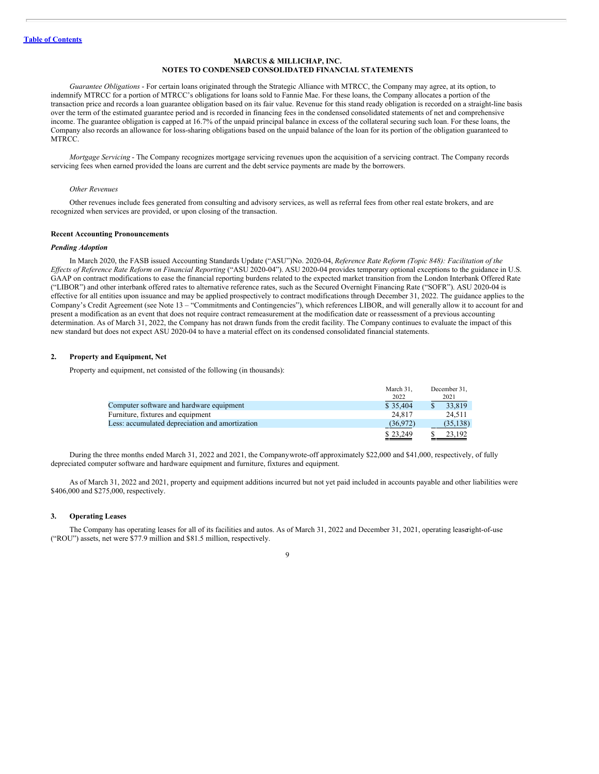*Guarantee Obligations* - For certain loans originated through the Strategic Alliance with MTRCC, the Company may agree, at its option, to indemnify MTRCC for a portion of MTRCC's obligations for loans sold to Fannie Mae. For these loans, the Company allocates a portion of the transaction price and records a loan guarantee obligation based on its fair value. Revenue for this stand ready obligation is recorded on a straight-line basis over the term of the estimated guarantee period and is recorded in financing fees in the condensed consolidated statements of net and comprehensive income. The guarantee obligation is capped at 16.7% of the unpaid principal balance in excess of the collateral securing such loan. For these loans, the Company also records an allowance for loss-sharing obligations based on the unpaid balance of the loan for its portion of the obligation guaranteed to MTRCC.

*Mortgage Servicing* - The Company recognizes mortgage servicing revenues upon the acquisition of a servicing contract. The Company records servicing fees when earned provided the loans are current and the debt service payments are made by the borrowers.

# *Other Revenues*

Other revenues include fees generated from consulting and advisory services, as well as referral fees from other real estate brokers, and are recognized when services are provided, or upon closing of the transaction.

#### **Recent Accounting Pronouncements**

# *Pending Adoption*

In March 2020, the FASB issued Accounting Standards Update ("ASU")No. 2020-04, *Reference Rate Reform (Topic 848): Facilitation of the Ef ects of Reference Rate Reform on Financial Reporting* ("ASU 2020-04"). ASU 2020-04 provides temporary optional exceptions to the guidance in U.S. GAAP on contract modifications to ease the financial reporting burdens related to the expected market transition from the London Interbank Offered Rate ("LIBOR") and other interbank offered rates to alternative reference rates, such as the Secured Overnight Financing Rate ("SOFR"). ASU 2020-04 is effective for all entities upon issuance and may be applied prospectively to contract modifications through December 31, 2022. The guidance applies to the Company's Credit Agreement (see Note 13 – "Commitments and Contingencies"), which references LIBOR, and will generally allow it to account for and present a modification as an event that does not require contract remeasurement at the modification date or reassessment of a previous accounting determination. As of March 31, 2022, the Company has not drawn funds from the credit facility. The Company continues to evaluate the impact of this new standard but does not expect ASU 2020-04 to have a material effect on its condensed consolidated financial statements.

#### **2. Property and Equipment, Net**

Property and equipment, net consisted of the following (in thousands):

|                                                 | March 31. | December 31. |
|-------------------------------------------------|-----------|--------------|
|                                                 | 2022      | 2021         |
| Computer software and hardware equipment        | \$35,404  | 33,819       |
| Furniture, fixtures and equipment               | 24.817    | 24.511       |
| Less: accumulated depreciation and amortization | (36,972)  | (35, 138)    |
|                                                 | \$23.249  | 23.192       |

During the three months ended March 31, 2022 and 2021, the Companywrote-off approximately \$22,000 and \$41,000, respectively, of fully depreciated computer software and hardware equipment and furniture, fixtures and equipment.

As of March 31, 2022 and 2021, property and equipment additions incurred but not yet paid included in accounts payable and other liabilities were \$406,000 and \$275,000, respectively.

#### **3. Operating Leases**

The Company has operating leases for all of its facilities and autos. As of March 31, 2022 and December 31, 2021, operating leaseright-of-use ("ROU") assets, net were \$77.9 million and \$81.5 million, respectively.

# $\alpha$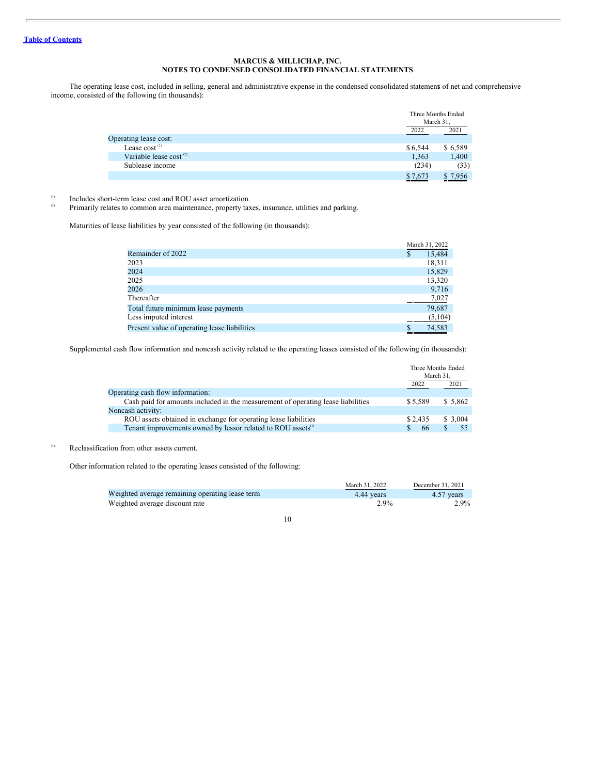The operating lease cost, included in selling, general and administrative expense in the condensed consolidated statements of net and comprehensive income, consisted of the following (in thousands):

|                                    | Three Months Ended<br>March 31, |         |
|------------------------------------|---------------------------------|---------|
|                                    | 2022                            | 2021    |
| Operating lease cost:              |                                 |         |
| Lease $cost^{(1)}$                 | \$6,544                         | \$6,589 |
| Variable lease cost <sup>(2)</sup> | 1,363                           | 1,400   |
| Sublease income                    | (234)                           | (33)    |
|                                    | \$7,673                         | 7,956   |
|                                    |                                 |         |

(1) Includes short-term lease cost and ROU asset amortization.

<sup>(2)</sup> Primarily relates to common area maintenance, property taxes, insurance, utilities and parking.

Maturities of lease liabilities by year consisted of the following (in thousands):

|                                              |   | March 31, 2022 |
|----------------------------------------------|---|----------------|
| Remainder of 2022                            | S | 15,484         |
| 2023                                         |   | 18,311         |
| 2024                                         |   | 15,829         |
| 2025                                         |   | 13,320         |
| 2026                                         |   | 9,716          |
| Thereafter                                   |   | 7,027          |
| Total future minimum lease payments          |   | 79,687         |
| Less imputed interest                        |   | (5,104)        |
| Present value of operating lease liabilities |   | 74,583         |

Supplemental cash flow information and noncash activity related to the operating leases consisted of the following (in thousands):

|                                                                                             | March 31, |
|---------------------------------------------------------------------------------------------|-----------|
| 2022                                                                                        | 2021      |
| Operating cash flow information:                                                            |           |
| Cash paid for amounts included in the measurement of operating lease liabilities<br>\$5.589 | \$ 5,862  |
| Noncash activity:                                                                           |           |
| ROU assets obtained in exchange for operating lease liabilities<br>\$2.435                  | \$3,004   |
| Tenant improvements owned by lessor related to ROU assets <sup>(1)</sup><br>66              |           |

(1) Reclassification from other assets current.

Other information related to the operating leases consisted of the following:

|                                                 | March 31, 2022 | December 31, 2021 |
|-------------------------------------------------|----------------|-------------------|
| Weighted average remaining operating lease term | 4.44 years     | 4.57 years        |
| Weighted average discount rate                  | 2.9%           | 2.9%              |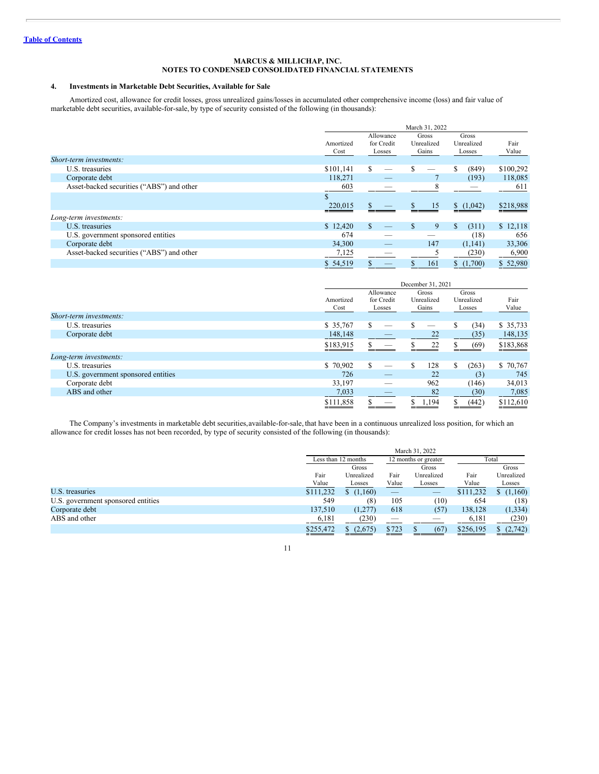# **4. Investments in Marketable Debt Securities, Available for Sale**

Amortized cost, allowance for credit losses, gross unrealized gains/losses in accumulated other comprehensive income (loss) and fair value of marketable debt securities, available-for-sale, by type of security consisted of the following (in thousands):

|                                           | March 31, 2022 |            |            |             |           |
|-------------------------------------------|----------------|------------|------------|-------------|-----------|
|                                           |                | Allowance  | Gross      | Gross       |           |
|                                           | Amortized      | for Credit | Unrealized | Unrealized  | Fair      |
|                                           | Cost           | Losses     | Gains      | Losses      | Value     |
| Short-term investments:                   |                |            |            |             |           |
| U.S. treasuries                           | \$101,141      | \$         | S          | \$<br>(849) | \$100,292 |
| Corporate debt                            | 118,271        |            |            | (193)       | 118,085   |
| Asset-backed securities ("ABS") and other | 603            |            | 8          |             | 611       |
|                                           |                |            |            |             |           |
|                                           | 220,015        |            | 15<br>S    | (1,042)     | \$218,988 |
| Long-term investments:                    |                |            |            |             |           |
| U.S. treasuries                           | \$12,420       |            | \$<br>9    | (311)<br>\$ | \$12,118  |
| U.S. government sponsored entities        | 674            |            |            | (18)        | 656       |
| Corporate debt                            | 34,300         |            | 147        | (1,141)     | 33,306    |
| Asset-backed securities ("ABS") and other | 7,125          |            |            | (230)       | 6,900     |
|                                           | \$54,519       |            | 161<br>S   | (1,700)     | \$52,980  |

|                                    |                   | December 31, 2021                 |                              |                               |               |
|------------------------------------|-------------------|-----------------------------------|------------------------------|-------------------------------|---------------|
|                                    | Amortized<br>Cost | Allowance<br>for Credit<br>Losses | Gross<br>Unrealized<br>Gains | Gross<br>Unrealized<br>Losses | Fair<br>Value |
| Short-term investments:            |                   |                                   |                              |                               |               |
| U.S. treasuries                    | \$35,767          | S.                                | \$<br>--                     | S<br>(34)                     | \$35,733      |
| Corporate debt                     | 148,148           |                                   | 22                           | (35)                          | 148,135       |
|                                    | \$183,915         | $-$                               | 22                           | (69)                          | \$183,868     |
| Long-term investments:             |                   |                                   |                              |                               |               |
| U.S. treasuries                    | \$70,902          | S.                                | S<br>128                     | S.<br>(263)                   | \$70,767      |
| U.S. government sponsored entities | 726               |                                   | 22                           | (3)                           | 745           |
| Corporate debt                     | 33,197            | _                                 | 962                          | (146)                         | 34,013        |
| ABS and other                      | 7,033             |                                   | 82                           | (30)                          | 7,085         |
|                                    | \$111,858         |                                   | 1,194                        | (442`                         | \$112,610     |

The Company's investments in marketable debt securities,available-for-sale, that have been in a continuous unrealized loss position, for which an allowance for credit losses has not been recorded, by type of security consisted of the following (in thousands):

|                                    | March 31, 2022 |                     |       |                      |           |            |
|------------------------------------|----------------|---------------------|-------|----------------------|-----------|------------|
|                                    |                | Less than 12 months |       | 12 months or greater | Total     |            |
|                                    |                | Gross               |       | Gross                |           | Gross      |
|                                    | Fair           | Unrealized          | Fair  | Unrealized           | Fair      | Unrealized |
|                                    | Value          | Losses              | Value | Losses               | Value     | Losses     |
| U.S. treasuries                    | \$111,232      | (1,160)             |       |                      | \$111,232 | (1,160)    |
| U.S. government sponsored entities | 549            | (8)                 | 105   | (10)                 | 654       | (18)       |
| Corporate debt                     | 137,510        | (1,277)             | 618   | (57)                 | 138,128   | (1, 334)   |
| ABS and other                      | 6,181          | (230)               | _     |                      | 6,181     | (230)      |
|                                    | \$255,472      | (2,675)             | \$723 | (67)                 | \$256,195 | (2,742)    |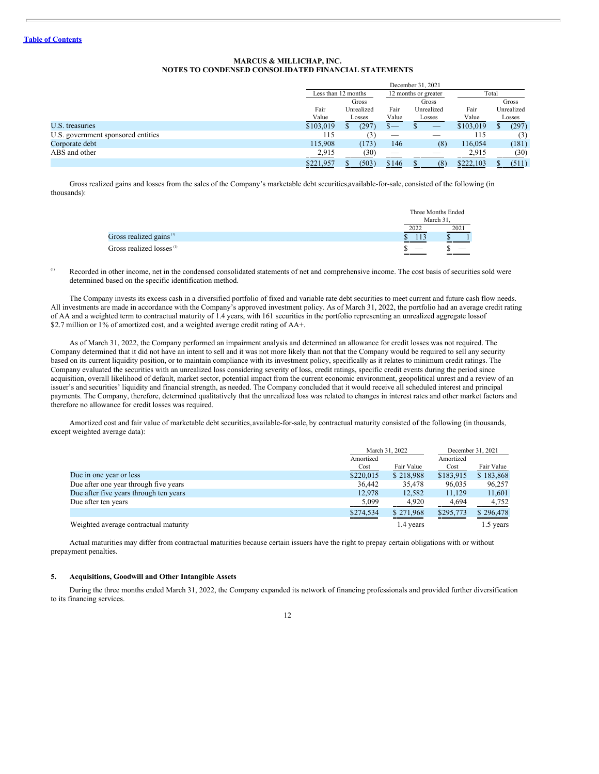|                                    |                     | December 31, 2021   |       |                      |           |            |
|------------------------------------|---------------------|---------------------|-------|----------------------|-----------|------------|
|                                    |                     | Less than 12 months |       | 12 months or greater |           | Total      |
|                                    |                     | Gross               |       | Gross                |           | Gross      |
|                                    | Fair                | Unrealized          | Fair  | Unrealized           | Fair      | Unrealized |
|                                    | Value               | Losses              | Value | Losses               | Value     | Losses     |
| U.S. treasuries                    | \$103,019           | (297)               | $S-$  |                      | \$103,019 | (297)      |
| U.S. government sponsored entities | 115                 | (3)                 | -     |                      | 115       | (3)        |
| Corporate debt                     | 115,908             | (173)               | 146   | (8)                  | 116,054   | (181)      |
| ABS and other                      | 2,915               | (30)                | _     |                      | 2,915     | (30)       |
|                                    | \$221,957<br>______ | (503)               | \$146 | (8)                  | \$222,103 | (511)      |
|                                    |                     |                     |       |                      |           |            |

Gross realized gains and losses from the sales of the Company's marketable debt securities,available-for-sale, consisted of the following (in thousands):

|                                      |      | Three Months Ended<br>March 31. |
|--------------------------------------|------|---------------------------------|
|                                      | 2022 | 2021                            |
| Gross realized gains <sup>(1)</sup>  |      |                                 |
| Gross realized losses <sup>(1)</sup> |      |                                 |

<sup>(i)</sup> Recorded in other income, net in the condensed consolidated statements of net and comprehensive income. The cost basis of securities sold were determined based on the specific identification method.

The Company invests its excess cash in a diversified portfolio of fixed and variable rate debt securities to meet current and future cash flow needs. All investments are made in accordance with the Company's approved investment policy. As of March 31, 2022, the portfolio had an average credit rating of AA and a weighted term to contractual maturity of 1.4 years, with 161 securities in the portfolio representing an unrealized aggregate lossof \$2.7 million or 1% of amortized cost, and a weighted average credit rating of AA+.

As of March 31, 2022, the Company performed an impairment analysis and determined an allowance for credit losses was not required. The Company determined that it did not have an intent to sell and it was not more likely than not that the Company would be required to sell any security based on its current liquidity position, or to maintain compliance with its investment policy, specifically as it relates to minimum credit ratings. The Company evaluated the securities with an unrealized loss considering severity of loss, credit ratings, specific credit events during the period since acquisition, overall likelihood of default, market sector, potential impact from the current economic environment, geopolitical unrest and a review of an issuer's and securities' liquidity and financial strength, as needed. The Company concluded that it would receive all scheduled interest and principal payments. The Company, therefore, determined qualitatively that the unrealized loss was related to changes in interest rates and other market factors and therefore no allowance for credit losses was required.

Amortized cost and fair value of marketable debt securities, available-for-sale, by contractual maturity consisted of the following (in thousands, except weighted average data):

|                                        |           | March 31, 2022 |           | December 31, 2021 |  |
|----------------------------------------|-----------|----------------|-----------|-------------------|--|
|                                        | Amortized |                |           |                   |  |
|                                        | Cost      | Fair Value     | Cost      | Fair Value        |  |
| Due in one year or less                | \$220,015 | \$218,988      | \$183,915 | \$183,868         |  |
| Due after one year through five years  | 36,442    | 35,478         | 96,035    | 96,257            |  |
| Due after five years through ten years | 12.978    | 12.582         | 11.129    | 11,601            |  |
| Due after ten years                    | 5,099     | 4,920          | 4,694     | 4,752             |  |
|                                        | \$274,534 | \$271,968      | \$295,773 | \$296,478         |  |
| Weighted average contractual maturity  |           | 1.4 years      |           | 1.5 years         |  |

Actual maturities may differ from contractual maturities because certain issuers have the right to prepay certain obligations with or without prepayment penalties.

# **5. Acquisitions, Goodwill and Other Intangible Assets**

During the three months ended March 31, 2022, the Company expanded its network of financing professionals and provided further diversification to its financing services.

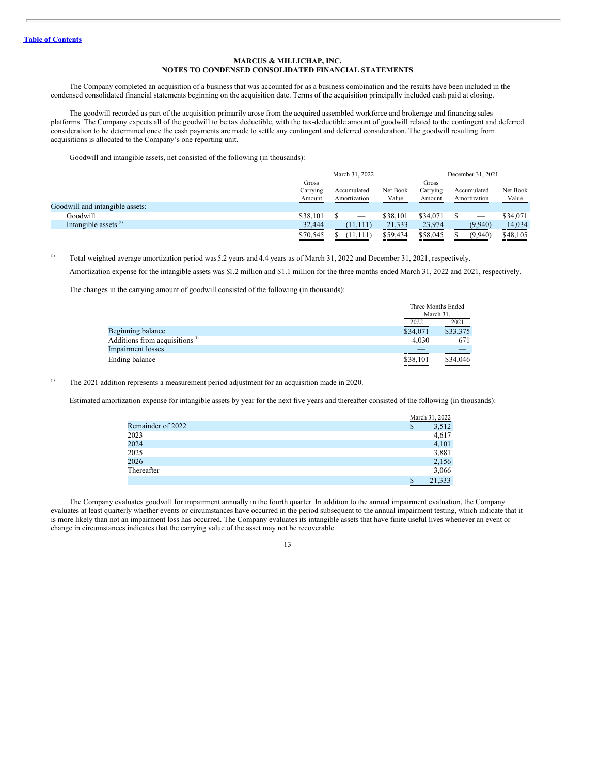The Company completed an acquisition of a business that was accounted for as a business combination and the results have been included in the condensed consolidated financial statements beginning on the acquisition date. Terms of the acquisition principally included cash paid at closing.

The goodwill recorded as part of the acquisition primarily arose from the acquired assembled workforce and brokerage and financing sales platforms. The Company expects all of the goodwill to be tax deductible, with the tax-deductible amount of goodwill related to the contingent and deferred consideration to be determined once the cash payments are made to settle any contingent and deferred consideration. The goodwill resulting from acquisitions is allocated to the Company's one reporting unit.

Goodwill and intangible assets, net consisted of the following (in thousands):

|                                  |                             | March 31, 2022              |                   |                             | December 31, 2021           |                   |  |
|----------------------------------|-----------------------------|-----------------------------|-------------------|-----------------------------|-----------------------------|-------------------|--|
|                                  | Gross<br>Carrying<br>Amount | Accumulated<br>Amortization | Net Book<br>Value | Gross<br>Carrying<br>Amount | Accumulated<br>Amortization | Net Book<br>Value |  |
| Goodwill and intangible assets:  |                             |                             |                   |                             |                             |                   |  |
| Goodwill                         | \$38,101                    | –                           | \$38,101          | \$34,071                    |                             | \$34,071          |  |
| Intangible assets <sup>(1)</sup> | 32,444                      | (11, 111)                   | 21,333            | 23,974                      | (9.940)                     | 14,034            |  |
|                                  | \$70,545                    | (11, 111)                   | \$59,434          | \$58,045                    | (9,940)                     | \$48,105          |  |

(1) Total weighted average amortization period was 5.2 years and 4.4 years as of March 31, 2022 and December 31, 2021, respectively.

Amortization expense for the intangible assets was \$1.2 million and \$1.1 million for the three months ended March 31, 2022 and 2021, respectively.

The changes in the carrying amount of goodwill consisted of the following (in thousands):

|                                            | Three Months Ended<br>March 31. |          |
|--------------------------------------------|---------------------------------|----------|
|                                            | 2022                            | 2021     |
| Beginning balance                          | \$34,071                        | \$33,375 |
| Additions from acquisitions <sup>(1)</sup> | 4.030                           | 671      |
| <b>Impairment</b> losses                   |                                 |          |
| Ending balance                             | \$38,101                        | \$34,046 |

The 2021 addition represents a measurement period adjustment for an acquisition made in 2020.

Estimated amortization expense for intangible assets by year for the next five years and thereafter consisted of the following (in thousands):

|                   |    | March 31, 2022 |
|-------------------|----|----------------|
| Remainder of 2022 | \$ | 3,512          |
| 2023              |    | 4,617          |
| 2024              |    | 4,101          |
| 2025              |    | 3,881          |
| 2026              |    | 2,156          |
| Thereafter        |    | 3,066          |
|                   | Ф  | 21.333         |

The Company evaluates goodwill for impairment annually in the fourth quarter. In addition to the annual impairment evaluation, the Company evaluates at least quarterly whether events or circumstances have occurred in the period subsequent to the annual impairment testing, which indicate that it is more likely than not an impairment loss has occurred. The Company evaluates its intangible assets that have finite useful lives whenever an event or change in circumstances indicates that the carrying value of the asset may not be recoverable.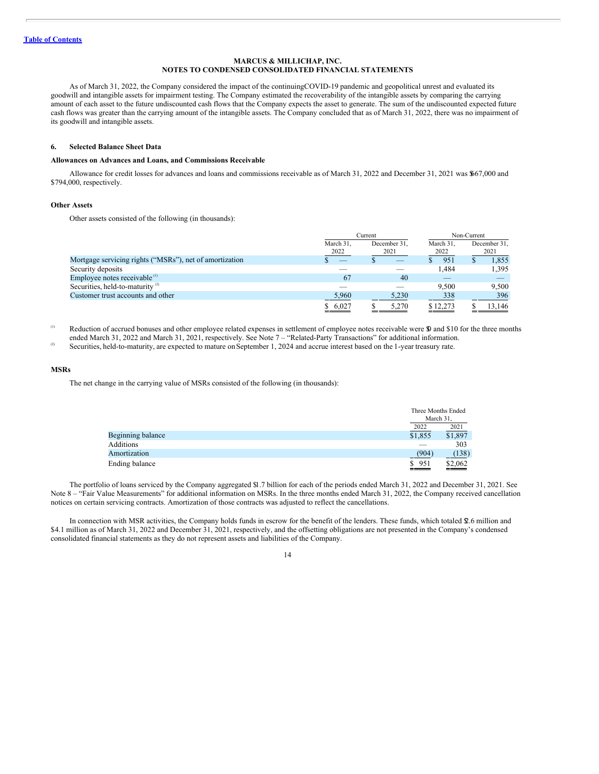As of March 31, 2022, the Company considered the impact of the continuingCOVID-19 pandemic and geopolitical unrest and evaluated its goodwill and intangible assets for impairment testing. The Company estimated the recoverability of the intangible assets by comparing the carrying amount of each asset to the future undiscounted cash flows that the Company expects the asset to generate. The sum of the undiscounted expected future cash flows was greater than the carrying amount of the intangible assets. The Company concluded that as of March 31, 2022, there was no impairment of its goodwill and intangible assets.

# **6. Selected Balance Sheet Data**

# **Allowances on Advances and Loans, and Commissions Receivable**

Allowance for credit losses for advances and loans and commissions receivable as of March 31, 2022 and December 31, 2021 was \$667,000 and \$794,000, respectively.

# **Other Assets**

Other assets consisted of the following (in thousands):

|                                                         |                   | Current              | Non-Current       |                      |  |
|---------------------------------------------------------|-------------------|----------------------|-------------------|----------------------|--|
|                                                         | March 31,<br>2022 | December 31,<br>2021 | March 31.<br>2022 | December 31,<br>2021 |  |
| Mortgage servicing rights ("MSRs"), net of amortization |                   |                      | 951               | 1.855                |  |
| Security deposits                                       |                   |                      | 1.484             | 1,395                |  |
| Employee notes receivable <sup>(1)</sup>                | 67                | 40                   |                   |                      |  |
| Securities, held-to-maturity <sup>(2)</sup>             |                   |                      | 9.500             | 9.500                |  |
| Customer trust accounts and other                       | 5,960             | 5,230                | 338               | 396                  |  |
|                                                         | \$6,027           | 5.270                | \$12,273          | 13.146               |  |

Reduction of accrued bonuses and other employee related expenses in settlement of employee notes receivable were \$0 and \$10 for the three months ended March 31, 2022 and March 31, 2021, respectively. See Note 7 – "Related-Party Transactions" for additional information.

Securities, held-to-maturity, are expected to mature on September 1, 2024 and accrue interest based on the 1-year treasury rate.

# **MSRs**

The net change in the carrying value of MSRs consisted of the following (in thousands):

|                       | Three Months Ended<br>March 31, |         |
|-----------------------|---------------------------------|---------|
|                       | 2022                            | 2021    |
| Beginning balance     | \$1,855                         | \$1,897 |
| <b>Additions</b>      | $\overline{\phantom{a}}$        | 303     |
| Amortization          | (904)                           | (138)   |
| <b>Ending balance</b> | 951<br>\$                       | \$2,062 |

The portfolio of loans serviced by the Company aggregated \$1.7 billion for each of the periods ended March 31, 2022 and December 31, 2021. See Note 8 – "Fair Value Measurements" for additional information on MSRs. In the three months ended March 31, 2022, the Company received cancellation notices on certain servicing contracts. Amortization of those contracts was adjusted to reflect the cancellations.

In connection with MSR activities, the Company holds funds in escrow for the benefit of the lenders. These funds, which totaled \$2.6 million and \$4.1 million as of March 31, 2022 and December 31, 2021, respectively, and the offsetting obligations are not presented in the Company's condensed consolidated financial statements as they do not represent assets and liabilities of the Company.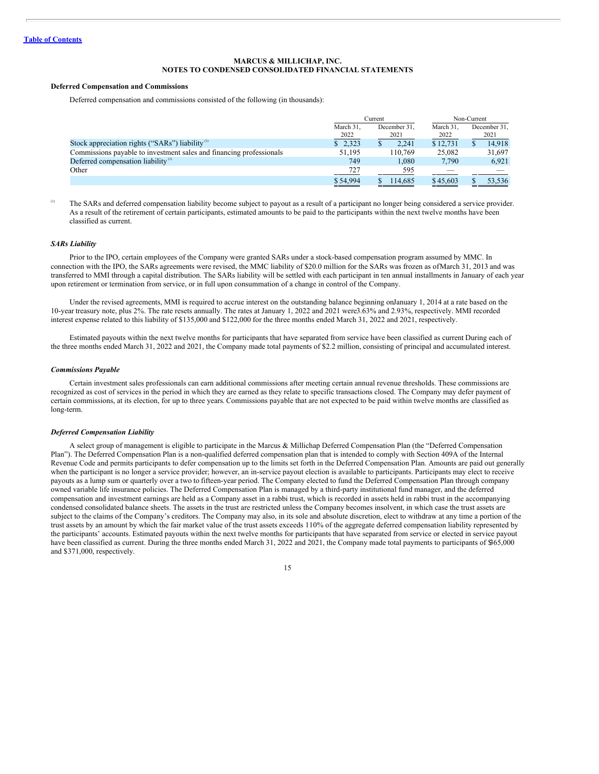# **Deferred Compensation and Commissions**

Deferred compensation and commissions consisted of the following (in thousands):

|                                                                     |           | Current      |                          | Non-Current  |
|---------------------------------------------------------------------|-----------|--------------|--------------------------|--------------|
|                                                                     | March 31. | December 31. |                          | December 31, |
|                                                                     | 2022      | 2021         | 2022                     | 2021         |
| Stock appreciation rights ("SARs") liability $\alpha$               | \$2,323   | 2.241        | \$12.731                 | 14.918       |
| Commissions payable to investment sales and financing professionals | 51.195    | 110.769      | 25.082                   | 31.697       |
| Deferred compensation liability <sup>(1)</sup>                      | 749       | 1.080        | 7.790                    | 6,921        |
| Other                                                               | 727       | 595          | $\overline{\phantom{a}}$ |              |
|                                                                     |           | 114,685      | \$45,603                 | 53.536       |
|                                                                     | \$54,994  | _________    | ______                   |              |

The SARs and deferred compensation liability become subject to payout as a result of a participant no longer being considered a service provider. As a result of the retirement of certain participants, estimated amounts to be paid to the participants within the next twelve months have been classified as current.

#### *SARs Liability*

Prior to the IPO, certain employees of the Company were granted SARs under a stock-based compensation program assumed by MMC. In connection with the IPO, the SARs agreements were revised, the MMC liability of \$20.0 million for the SARs was frozen as ofMarch 31, 2013 and was transferred to MMI through a capital distribution. The SARs liability will be settled with each participant in ten annual installments in January of each year upon retirement or termination from service, or in full upon consummation of a change in control of the Company.

Under the revised agreements, MMI is required to accrue interest on the outstanding balance beginning onJanuary 1, 2014 at a rate based on the 10-year treasury note, plus 2%. The rate resets annually. The rates at January 1, 2022 and 2021 were3.63% and 2.93%, respectively. MMI recorded interest expense related to this liability of \$135,000 and \$122,000 for the three months ended March 31, 2022 and 2021, respectively.

Estimated payouts within the next twelve months for participants that have separated from service have been classified as current During each of the three months ended March 31, 2022 and 2021, the Company made total payments of \$2.2 million, consisting of principal and accumulated interest.

#### *Commissions Payable*

Certain investment sales professionals can earn additional commissions after meeting certain annual revenue thresholds. These commissions are recognized as cost of services in the period in which they are earned as they relate to specific transactions closed. The Company may defer payment of certain commissions, at its election, for up to three years. Commissions payable that are not expected to be paid within twelve months are classified as long-term.

#### *Deferred Compensation Liability*

A select group of management is eligible to participate in the Marcus & Millichap Deferred Compensation Plan (the "Deferred Compensation Plan"). The Deferred Compensation Plan is a non-qualified deferred compensation plan that is intended to comply with Section 409A of the Internal Revenue Code and permits participants to defer compensation up to the limits set forth in the Deferred Compensation Plan. Amounts are paid out generally when the participant is no longer a service provider; however, an in-service payout election is available to participants. Participants may elect to receive payouts as a lump sum or quarterly over a two to fifteen-year period. The Company elected to fund the Deferred Compensation Plan through company owned variable life insurance policies. The Deferred Compensation Plan is managed by a third-party institutional fund manager, and the deferred compensation and investment earnings are held as a Company asset in a rabbi trust, which is recorded in assets held in rabbi trust in the accompanying condensed consolidated balance sheets. The assets in the trust are restricted unless the Company becomes insolvent, in which case the trust assets are subject to the claims of the Company's creditors. The Company may also, in its sole and absolute discretion, elect to withdraw at any time a portion of the trust assets by an amount by which the fair market value of the trust assets exceeds 110% of the aggregate deferred compensation liability represented by the participants' accounts. Estimated payouts within the next twelve months for participants that have separated from service or elected in service payout have been classified as current. During the three months ended March 31, 2022 and 2021, the Company made total payments to participants of \$65,000 and \$371,000, respectively.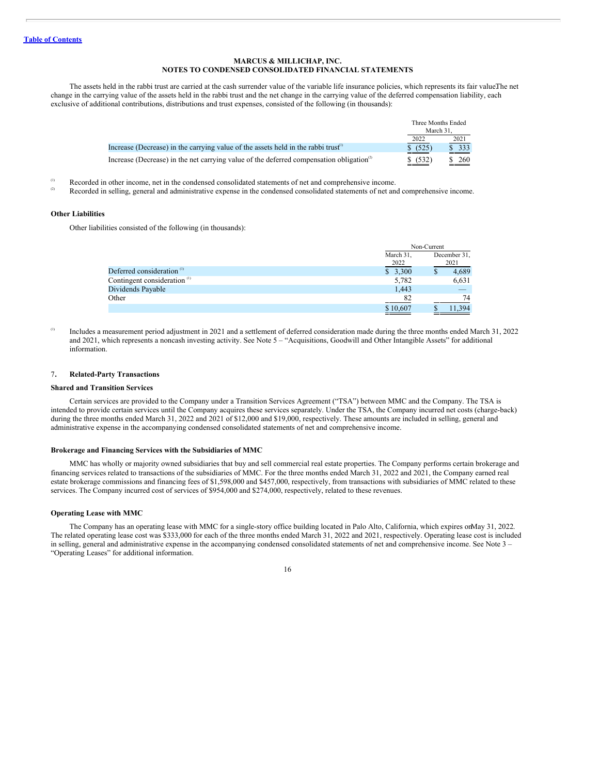The assets held in the rabbi trust are carried at the cash surrender value of the variable life insurance policies, which represents its fair valueThe net change in the carrying value of the assets held in the rabbi trust and the net change in the carrying value of the deferred compensation liability, each exclusive of additional contributions, distributions and trust expenses, consisted of the following (in thousands):

|                                                                                                                       | Three Months Ended<br>March 31. |        |
|-----------------------------------------------------------------------------------------------------------------------|---------------------------------|--------|
|                                                                                                                       | 2022                            | 2021   |
| Increase (Decrease) in the carrying value of the assets held in the rabbi trust <sup>(1)</sup>                        | \$ (525)                        | \$333  |
| Increase (Decrease) in the net carrying value of the deferred compensation obligation <sup><math>\alpha</math>)</sup> | \$ (532)                        | \$ 260 |

(1) Recorded in other income, net in the condensed consolidated statements of net and comprehensive income.

Recorded in selling, general and administrative expense in the condensed consolidated statements of net and comprehensive income.

# **Other Liabilities**

Other liabilities consisted of the following (in thousands):

|                                         |                   | Non-Current |                      |  |  |
|-----------------------------------------|-------------------|-------------|----------------------|--|--|
|                                         | March 31,<br>2022 |             | December 31,<br>2021 |  |  |
| Deferred consideration <sup>(1)</sup>   | \$3,300           |             | 4,689                |  |  |
| Contingent consideration <sup>(1)</sup> | 5,782             |             | 6,631                |  |  |
| Dividends Payable                       | 1,443             |             |                      |  |  |
| Other                                   | 82                |             | 74                   |  |  |
|                                         | \$10,607          |             | 11.394               |  |  |

(1) Includes a measurement period adjustment in 2021 and a settlement of deferred consideration made during the three months ended March 31, 2022 and 2021, which represents a noncash investing activity. See Note 5 – "Acquisitions, Goodwill and Other Intangible Assets" for additional information.

#### 7**. Related-Party Transactions**

# **Shared and Transition Services**

Certain services are provided to the Company under a Transition Services Agreement ("TSA") between MMC and the Company. The TSA is intended to provide certain services until the Company acquires these services separately. Under the TSA, the Company incurred net costs (charge-back) during the three months ended March 31, 2022 and 2021 of \$12,000 and \$19,000, respectively. These amounts are included in selling, general and administrative expense in the accompanying condensed consolidated statements of net and comprehensive income.

# **Brokerage and Financing Services with the Subsidiaries of MMC**

MMC has wholly or majority owned subsidiaries that buy and sell commercial real estate properties. The Company performs certain brokerage and financing services related to transactions of the subsidiaries of MMC. For the three months ended March 31, 2022 and 2021, the Company earned real estate brokerage commissions and financing fees of \$1,598,000 and \$457,000, respectively, from transactions with subsidiaries of MMC related to these services. The Company incurred cost of services of \$954,000 and \$274,000, respectively, related to these revenues.

#### **Operating Lease with MMC**

The Company has an operating lease with MMC for a single-story office building located in Palo Alto, California, which expires onMay 31, 2022. The related operating lease cost was \$333,000 for each of the three months ended March 31, 2022 and 2021, respectively. Operating lease cost is included in selling, general and administrative expense in the accompanying condensed consolidated statements of net and comprehensive income. See Note 3 – "Operating Leases" for additional information.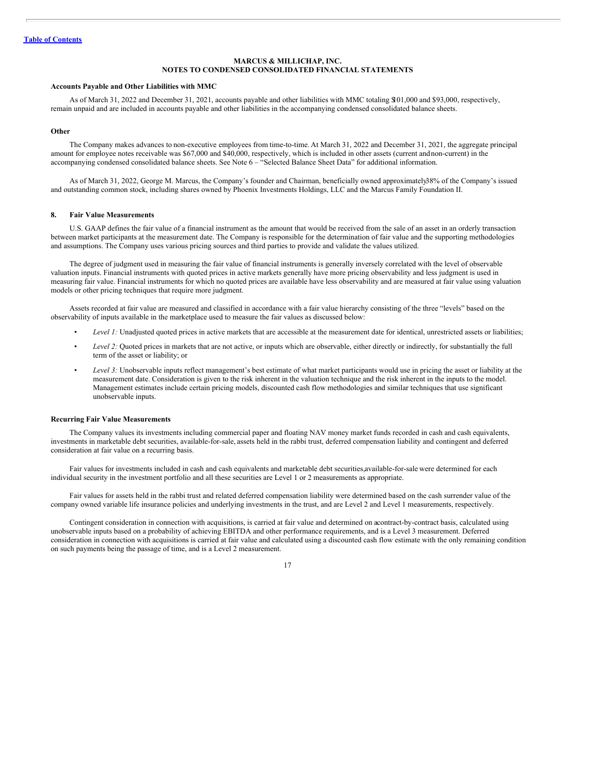# **Accounts Payable and Other Liabilities with MMC**

As of March 31, 2022 and December 31, 2021, accounts payable and other liabilities with MMC totaling \$101,000 and \$93,000, respectively, remain unpaid and are included in accounts payable and other liabilities in the accompanying condensed consolidated balance sheets.

# **Other**

The Company makes advances to non-executive employees from time-to-time. At March 31, 2022 and December 31, 2021, the aggregate principal amount for employee notes receivable was \$67,000 and \$40,000, respectively, which is included in other assets (current andnon-current) in the accompanying condensed consolidated balance sheets. See Note 6 – "Selected Balance Sheet Data" for additional information.

As of March 31, 2022, George M. Marcus, the Company's founder and Chairman, beneficially owned approximately38% of the Company's issued and outstanding common stock, including shares owned by Phoenix Investments Holdings, LLC and the Marcus Family Foundation II.

#### **8. Fair Value Measurements**

U.S. GAAP defines the fair value of a financial instrument as the amount that would be received from the sale of an asset in an orderly transaction between market participants at the measurement date. The Company is responsible for the determination of fair value and the supporting methodologies and assumptions. The Company uses various pricing sources and third parties to provide and validate the values utilized.

The degree of judgment used in measuring the fair value of financial instruments is generally inversely correlated with the level of observable valuation inputs. Financial instruments with quoted prices in active markets generally have more pricing observability and less judgment is used in measuring fair value. Financial instruments for which no quoted prices are available have less observability and are measured at fair value using valuation models or other pricing techniques that require more judgment.

Assets recorded at fair value are measured and classified in accordance with a fair value hierarchy consisting of the three "levels" based on the observability of inputs available in the marketplace used to measure the fair values as discussed below:

- *Level 1:* Unadjusted quoted prices in active markets that are accessible at the measurement date for identical, unrestricted assets or liabilities;
- *Level 2:* Quoted prices in markets that are not active, or inputs which are observable, either directly or indirectly, for substantially the full term of the asset or liability; or
- *Level 3:* Unobservable inputs reflect management's best estimate of what market participants would use in pricing the asset or liability at the measurement date. Consideration is given to the risk inherent in the valuation technique and the risk inherent in the inputs to the model. Management estimates include certain pricing models, discounted cash flow methodologies and similar techniques that use significant unobservable inputs.

#### **Recurring Fair Value Measurements**

The Company values its investments including commercial paper and floating NAV money market funds recorded in cash and cash equivalents, investments in marketable debt securities, available-for-sale, assets held in the rabbi trust, deferred compensation liability and contingent and deferred consideration at fair value on a recurring basis.

Fair values for investments included in cash and cash equivalents and marketable debt securities,available-for-sale were determined for each individual security in the investment portfolio and all these securities are Level 1 or 2 measurements as appropriate.

Fair values for assets held in the rabbi trust and related deferred compensation liability were determined based on the cash surrender value of the company owned variable life insurance policies and underlying investments in the trust, and are Level 2 and Level 1 measurements, respectively.

Contingent consideration in connection with acquisitions, is carried at fair value and determined on acontract-by-contract basis, calculated using unobservable inputs based on a probability of achieving EBITDA and other performance requirements, and is a Level 3 measurement. Deferred consideration in connection with acquisitions is carried at fair value and calculated using a discounted cash flow estimate with the only remaining condition on such payments being the passage of time, and is a Level 2 measurement.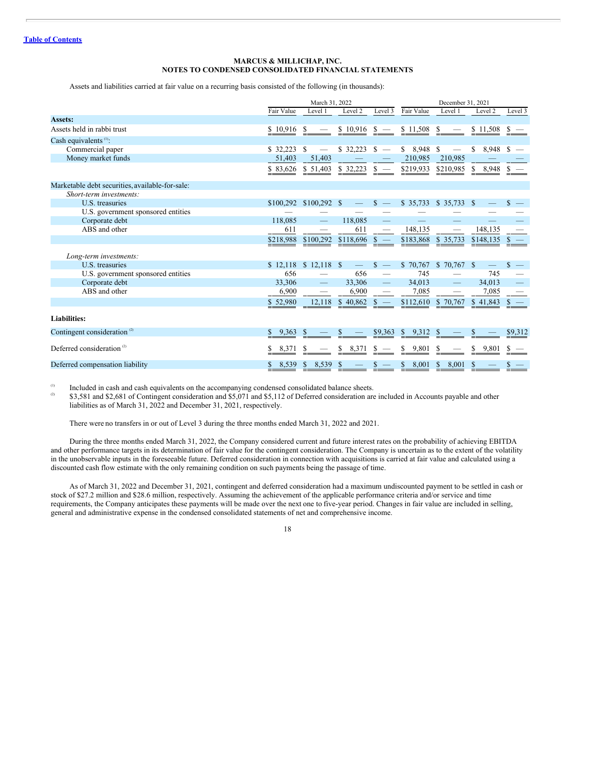Assets and liabilities carried at fair value on a recurring basis consisted of the following (in thousands):

|                                                 |                        | March 31, 2022                              |                | December 31, 2021                 |                        |                        |               |         |  |
|-------------------------------------------------|------------------------|---------------------------------------------|----------------|-----------------------------------|------------------------|------------------------|---------------|---------|--|
|                                                 | Fair Value             | Level 1                                     | Level 2        | Level 3                           | Fair Value             | Level 1                | Level 2       | Level 3 |  |
| <b>Assets:</b>                                  |                        |                                             |                |                                   |                        |                        |               |         |  |
| Assets held in rabbi trust                      | $$10,916$ \$           |                                             | $$10,916$ $$-$ |                                   | \$11,508               | \$                     | \$11,508      |         |  |
| Cash equivalents <sup>(1)</sup> :               |                        |                                             |                |                                   |                        |                        |               |         |  |
| Commercial paper                                | \$32,223               | -S<br>$\hspace{1.0cm} \rule{1.5cm}{0.15cm}$ | \$32,223       | <sup>\$</sup><br>$\hspace{0.1mm}$ | \$<br>8,948 \$         |                        | 8,948<br>\$   | S.      |  |
| Money market funds                              | 51,403                 | 51,403                                      |                |                                   | 210,985                | 210,985                |               |         |  |
|                                                 |                        | \$ 83,626 \$ 51,403                         | \$32,223       | <sup>\$</sup>                     |                        | \$219,933 \$210,985 \$ | 8,948         |         |  |
| Marketable debt securities, available-for-sale: |                        |                                             |                |                                   |                        |                        |               |         |  |
| Short-term investments:                         |                        |                                             |                |                                   |                        |                        |               |         |  |
| U.S. treasuries                                 | \$100.292              | \$100,292                                   | <sup>\$</sup>  | <sup>\$</sup>                     | \$35,733               | $$35,733$ \$           |               |         |  |
| U.S. government sponsored entities              |                        |                                             |                |                                   |                        |                        |               |         |  |
| Corporate debt                                  | 118,085                |                                             | 118,085        |                                   |                        |                        |               |         |  |
| ABS and other                                   | 611                    |                                             | 611            | $\hspace{0.1mm}-\hspace{0.1mm}$   | 148,135                |                        | 148,135       |         |  |
|                                                 | \$218,988              | \$100,292                                   | \$118,696      | <sup>2</sup>                      |                        | \$183,868 \$35,733     | \$148,135     |         |  |
| Long-term investments:                          |                        |                                             |                |                                   |                        |                        |               |         |  |
| U.S. treasuries                                 |                        | \$12,118 \$12,118 \$                        |                | $\mathbb{S}$                      | \$70,767               | $$70,767$ \$           |               |         |  |
| U.S. government sponsored entities              | 656                    |                                             | 656            |                                   | 745                    |                        | 745           |         |  |
| Corporate debt                                  | 33,306                 | —                                           | 33,306         |                                   | 34,013                 |                        | 34,013        |         |  |
| ABS and other                                   | 6,900                  |                                             | 6,900          |                                   | 7,085                  |                        | 7,085         |         |  |
|                                                 | \$52,980               | 12,118                                      | \$40,862       |                                   | \$112,610              | \$70,767               | \$41,843      |         |  |
| <b>Liabilities:</b>                             |                        |                                             |                |                                   |                        |                        |               |         |  |
| Contingent consideration <sup>(2)</sup>         | 9,363<br>$\mathcal{S}$ | <sup>\$</sup>                               |                | \$9,363                           | 9,312<br>\$            | <sup>\$</sup>          |               | \$9,312 |  |
| Deferred consideration $^{(2)}$                 | 8,371                  | S.                                          | 8,371<br>S     | S.                                | 9,801<br>\$.           | S                      | 9,801<br>Y.   |         |  |
| Deferred compensation liability                 | 8,539<br>\$            | 8,539<br><sup>\$</sup>                      | S              | \$                                | $\frac{1}{2}$<br>8,001 | 8,001<br>\$            | $\frac{1}{2}$ |         |  |

(1) Included in cash and cash equivalents on the accompanying condensed consolidated balance sheets.

 $\degree$  \$3,581 and \$2,681 of Contingent consideration and \$5,071 and \$5,112 of Deferred consideration are included in Accounts payable and other liabilities as of March 31, 2022 and December 31, 2021, respectively.

There were no transfers in or out of Level 3 during the three months ended March 31, 2022 and 2021.

During the three months ended March 31, 2022, the Company considered current and future interest rates on the probability of achieving EBITDA and other performance targets in its determination of fair value for the contingent consideration. The Company is uncertain as to the extent of the volatility in the unobservable inputs in the foreseeable future. Deferred consideration in connection with acquisitions is carried at fair value and calculated using a discounted cash flow estimate with the only remaining condition on such payments being the passage of time.

As of March 31, 2022 and December 31, 2021, contingent and deferred consideration had a maximum undiscounted payment to be settled in cash or stock of \$27.2 million and \$28.6 million, respectively. Assuming the achievement of the applicable performance criteria and/or service and time requirements, the Company anticipates these payments will be made over the next one to five-year period. Changes in fair value are included in selling, general and administrative expense in the condensed consolidated statements of net and comprehensive income.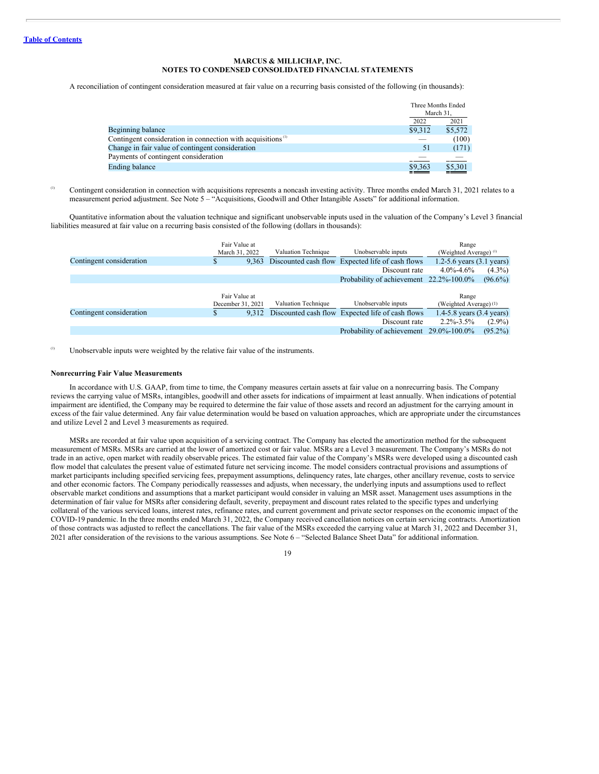A reconciliation of contingent consideration measured at fair value on a recurring basis consisted of the following (in thousands):

|                                                                         |         | Three Months Ended<br>March 31. |
|-------------------------------------------------------------------------|---------|---------------------------------|
|                                                                         | 2022    | 2021                            |
| Beginning balance                                                       | \$9,312 | \$5,572                         |
| Contingent consideration in connection with acquisitions <sup>(1)</sup> |         | (100)                           |
| Change in fair value of contingent consideration                        | 51      | (171)                           |
| Payments of contingent consideration                                    |         |                                 |
| <b>Ending balance</b>                                                   | \$9,363 | \$5,301                         |
|                                                                         |         | ____                            |

Contingent consideration in connection with acquisitions represents a noncash investing activity. Three months ended March 31, 2021 relates to a measurement period adjustment. See Note 5 – "Acquisitions, Goodwill and Other Intangible Assets" for additional information.

Quantitative information about the valuation technique and significant unobservable inputs used in the valuation of the Company's Level 3 financial liabilities measured at fair value on a recurring basis consisted of the following (dollars in thousands):

|                          | Fair Value at     |                     |                                                        | Range                               |            |
|--------------------------|-------------------|---------------------|--------------------------------------------------------|-------------------------------------|------------|
|                          | March 31, 2022    | Valuation Technique | Unobservable inputs                                    | (Weighted Average) (1)              |            |
| Contingent consideration |                   |                     | 9,363 Discounted cash flow Expected life of cash flows | 1.2-5.6 years $(3.1 \text{ years})$ |            |
|                          |                   |                     | Discount rate                                          | $4.0\% - 4.6\%$                     | $(4.3\%)$  |
|                          |                   |                     | Probability of achievement 22.2%-100.0%                |                                     | $(96.6\%)$ |
|                          |                   |                     |                                                        |                                     |            |
|                          | Fair Value at     |                     |                                                        | Range                               |            |
|                          | December 31, 2021 | Valuation Technique | Unobservable inputs                                    | (Weighted Average) (1)              |            |
| Contingent consideration |                   |                     | 9,312 Discounted cash flow Expected life of cash flows | 1.4-5.8 years $(3.4 \text{ years})$ |            |
|                          |                   |                     | Discount rate                                          | $2.2\% - 3.5\%$                     | $(2.9\%)$  |
|                          |                   |                     | Probability of achievement 29.0%-100.0%                |                                     | $(95.2\%)$ |
|                          |                   |                     |                                                        |                                     |            |

(1) Unobservable inputs were weighted by the relative fair value of the instruments.

#### **Nonrecurring Fair Value Measurements**

In accordance with U.S. GAAP, from time to time, the Company measures certain assets at fair value on a nonrecurring basis. The Company reviews the carrying value of MSRs, intangibles, goodwill and other assets for indications of impairment at least annually. When indications of potential impairment are identified, the Company may be required to determine the fair value of those assets and record an adjustment for the carrying amount in excess of the fair value determined. Any fair value determination would be based on valuation approaches, which are appropriate under the circumstances and utilize Level 2 and Level 3 measurements as required.

MSRs are recorded at fair value upon acquisition of a servicing contract. The Company has elected the amortization method for the subsequent measurement of MSRs. MSRs are carried at the lower of amortized cost or fair value. MSRs are a Level 3 measurement. The Company's MSRs do not trade in an active, open market with readily observable prices. The estimated fair value of the Company's MSRs were developed using a discounted cash flow model that calculates the present value of estimated future net servicing income. The model considers contractual provisions and assumptions of market participants including specified servicing fees, prepayment assumptions, delinquency rates, late charges, other ancillary revenue, costs to service and other economic factors. The Company periodically reassesses and adjusts, when necessary, the underlying inputs and assumptions used to reflect observable market conditions and assumptions that a market participant would consider in valuing an MSR asset. Management uses assumptions in the determination of fair value for MSRs after considering default, severity, prepayment and discount rates related to the specific types and underlying collateral of the various serviced loans, interest rates, refinance rates, and current government and private sector responses on the economic impact of the COVID-19 pandemic. In the three months ended March 31, 2022, the Company received cancellation notices on certain servicing contracts. Amortization of those contracts was adjusted to reflect the cancellations. The fair value of the MSRs exceeded the carrying value at March 31, 2022 and December 31, 2021 after consideration of the revisions to the various assumptions. See Note 6 – "Selected Balance Sheet Data" for additional information.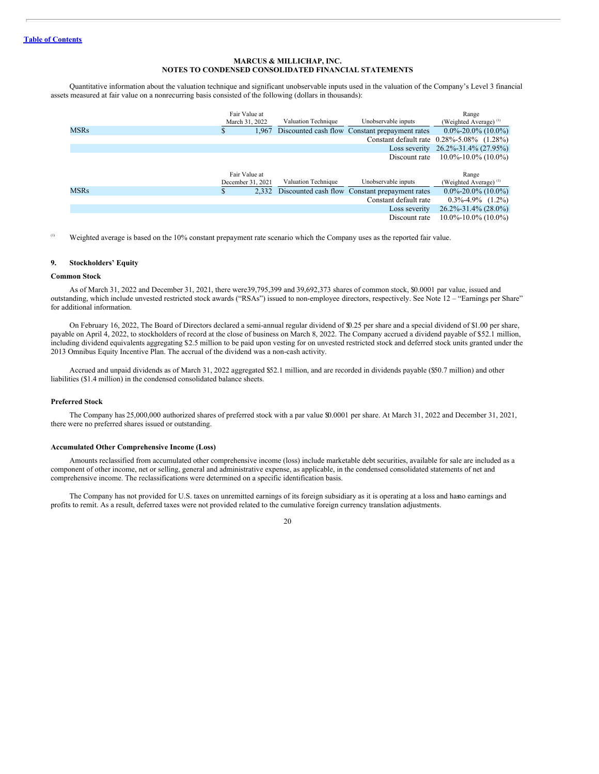Quantitative information about the valuation technique and significant unobservable inputs used in the valuation of the Company's Level 3 financial assets measured at fair value on a nonrecurring basis consisted of the following (dollars in thousands):

|             | Fair Value at<br>March 31, 2022 | Valuation Technique | Unobservable inputs                                  | Range<br>(Weighted Average) (1)           |
|-------------|---------------------------------|---------------------|------------------------------------------------------|-------------------------------------------|
| <b>MSRs</b> | S                               |                     | 1,967 Discounted cash flow Constant prepayment rates | $0.0\% - 20.0\%$ (10.0%)                  |
|             |                                 |                     |                                                      | Constant default rate 0.28%-5.08% (1.28%) |
|             |                                 |                     |                                                      | Loss severity $26.2\% - 31.4\%$ (27.95%)  |
|             |                                 |                     | Discount rate                                        | $10.0\% - 10.0\%$ (10.0%)                 |
|             | Fair Value at                   |                     |                                                      | Range                                     |
|             | December 31, 2021               | Valuation Technique | Unobservable inputs                                  | (Weighted Average) (1)                    |
| <b>MSRs</b> | S                               |                     | 2,332 Discounted cash flow Constant prepayment rates | $0.0\% - 20.0\%$ (10.0%)                  |
|             |                                 |                     | Constant default rate                                | $0.3\% - 4.9\%$ $(1.2\%)$                 |
|             |                                 |                     | Loss severity                                        | $26.2\% - 31.4\% (28.0\%)$                |
|             |                                 |                     | Discount rate                                        | $10.0\% - 10.0\%$ (10.0%)                 |

<sup>(1)</sup> Weighted average is based on the 10% constant prepayment rate scenario which the Company uses as the reported fair value.

# **9. Stockholders' Equity**

# **Common Stock**

As of March 31, 2022 and December 31, 2021, there were39,795,399 and 39,692,373 shares of common stock, \$0.0001 par value, issued and outstanding, which include unvested restricted stock awards ("RSAs") issued to non-employee directors, respectively. See Note 12 – "Earnings per Share" for additional information.

On February 16, 2022, The Board of Directors declared a semi-annual regular dividend of \$0.25 per share and a special dividend of \$1.00 per share, payable on April 4, 2022, to stockholders of record at the close of business on March 8, 2022. The Company accrued a dividend payable of \$52.1 million, including dividend equivalents aggregating \$2.5 million to be paid upon vesting for on unvested restricted stock and deferred stock units granted under the 2013 Omnibus Equity Incentive Plan. The accrual of the dividend was a non-cash activity.

Accrued and unpaid dividends as of March 31, 2022 aggregated \$52.1 million, and are recorded in dividends payable (\$50.7 million) and other liabilities (\$1.4 million) in the condensed consolidated balance sheets.

# **Preferred Stock**

The Company has 25,000,000 authorized shares of preferred stock with a par value \$0.0001 per share. At March 31, 2022 and December 31, 2021, there were no preferred shares issued or outstanding.

# **Accumulated Other Comprehensive Income (Loss)**

Amounts reclassified from accumulated other comprehensive income (loss) include marketable debt securities, available for sale are included as a component of other income, net or selling, general and administrative expense, as applicable, in the condensed consolidated statements of net and comprehensive income. The reclassifications were determined on a specific identification basis.

The Company has not provided for U.S. taxes on unremitted earnings of its foreign subsidiary as it is operating at a loss and hasno earnings and profits to remit. As a result, deferred taxes were not provided related to the cumulative foreign currency translation adjustments.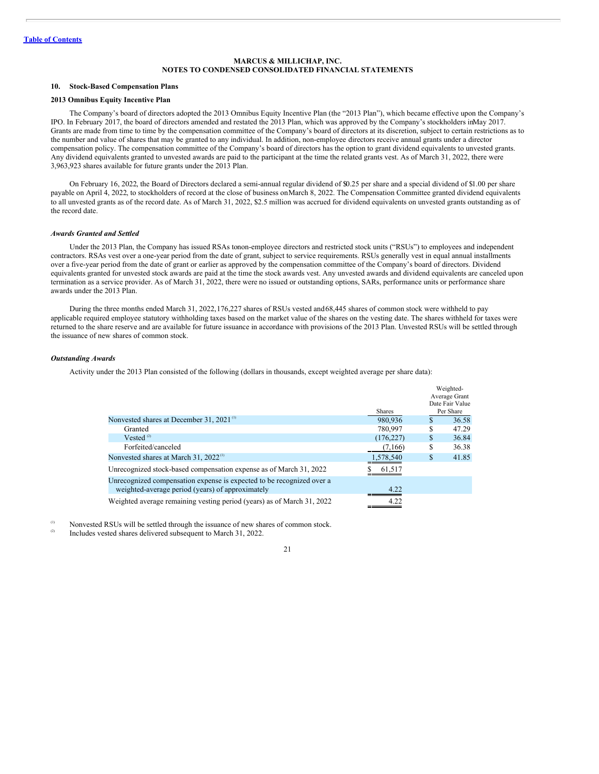#### **10. Stock-Based Compensation Plans**

#### **2013 Omnibus Equity Incentive Plan**

The Company's board of directors adopted the 2013 Omnibus Equity Incentive Plan (the "2013 Plan"), which became effective upon the Company's IPO. In February 2017, the board of directors amended and restated the 2013 Plan, which was approved by the Company's stockholders inMay 2017. Grants are made from time to time by the compensation committee of the Company's board of directors at its discretion, subject to certain restrictions as to the number and value of shares that may be granted to any individual. In addition, non-employee directors receive annual grants under a director compensation policy. The compensation committee of the Company's board of directors has the option to grant dividend equivalents to unvested grants. Any dividend equivalents granted to unvested awards are paid to the participant at the time the related grants vest. As of March 31, 2022, there were 3,963,923 shares available for future grants under the 2013 Plan.

On February 16, 2022, the Board of Directors declared a semi-annual regular dividend of \$0.25 per share and a special dividend of \$1.00 per share payable on April 4, 2022, to stockholders of record at the close of business on March 8, 2022. The Compensation Committee granted dividend equivalents to all unvested grants as of the record date. As of March 31, 2022, \$2.5 million was accrued for dividend equivalents on unvested grants outstanding as of the record date.

#### *Awards Granted and Settled*

Under the 2013 Plan, the Company has issued RSAs tonon-employee directors and restricted stock units ("RSUs") to employees and independent contractors. RSAs vest over a one-year period from the date of grant, subject to service requirements. RSUs generally vest in equal annual installments over a five-year period from the date of grant or earlier as approved by the compensation committee of the Company's board of directors. Dividend equivalents granted for unvested stock awards are paid at the time the stock awards vest. Any unvested awards and dividend equivalents are canceled upon termination as a service provider. As of March 31, 2022, there were no issued or outstanding options, SARs, performance units or performance share awards under the 2013 Plan.

During the three months ended March 31, 2022,176,227 shares of RSUs vested and68,445 shares of common stock were withheld to pay applicable required employee statutory withholding taxes based on the market value of the shares on the vesting date. The shares withheld for taxes were returned to the share reserve and are available for future issuance in accordance with provisions of the 2013 Plan. Unvested RSUs will be settled through the issuance of new shares of common stock.

#### *Outstanding Awards*

Activity under the 2013 Plan consisted of the following (dollars in thousands, except weighted average per share data):

|                                                                                                                           |               |    | Weighted-       |
|---------------------------------------------------------------------------------------------------------------------------|---------------|----|-----------------|
|                                                                                                                           |               |    | Average Grant   |
|                                                                                                                           |               |    | Date Fair Value |
|                                                                                                                           | <b>Shares</b> |    | Per Share       |
| Nonvested shares at December 31, 2021 <sup>(1)</sup>                                                                      | 980.936       | S  | 36.58           |
| Granted                                                                                                                   | 780,997       | S  | 47.29           |
| Vested $^{(2)}$                                                                                                           | (176, 227)    | \$ | 36.84           |
| Forfeited/canceled                                                                                                        | (7,166)       | S  | 36.38           |
| Nonvested shares at March 31, 2022 <sup>(1)</sup>                                                                         | 1,578,540     | S  | 41.85           |
| Unrecognized stock-based compensation expense as of March 31, 2022                                                        | 61,517        |    |                 |
| Unrecognized compensation expense is expected to be recognized over a<br>weighted-average period (years) of approximately | 4.22          |    |                 |
| Weighted average remaining vesting period (years) as of March 31, 2022                                                    | 4.22          |    |                 |

(1) Nonvested RSUs will be settled through the issuance of new shares of common stock.

(2) Includes vested shares delivered subsequent to March 31, 2022.

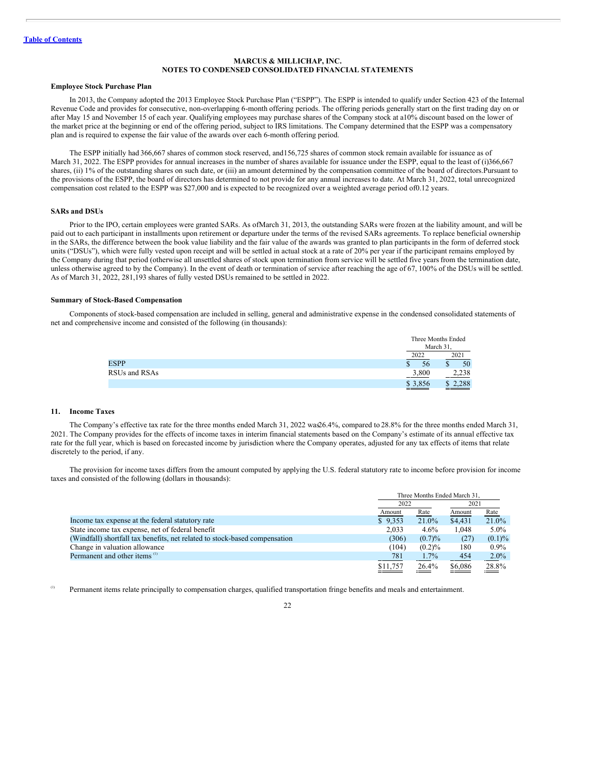# **Employee Stock Purchase Plan**

In 2013, the Company adopted the 2013 Employee Stock Purchase Plan ("ESPP"). The ESPP is intended to qualify under Section 423 of the Internal Revenue Code and provides for consecutive, non-overlapping 6-month offering periods. The offering periods generally start on the first trading day on or after May 15 and November 15 of each year. Qualifying employees may purchase shares of the Company stock at a10% discount based on the lower of the market price at the beginning or end of the offering period, subject to IRS limitations. The Company determined that the ESPP was a compensatory plan and is required to expense the fair value of the awards over each 6-month offering period.

The ESPP initially had 366,667 shares of common stock reserved, and156,725 shares of common stock remain available for issuance as of March 31, 2022. The ESPP provides for annual increases in the number of shares available for issuance under the ESPP, equal to the least of (i)366,667 shares, (ii) 1% of the outstanding shares on such date, or (iii) an amount determined by the compensation committee of the board of directors.Pursuant to the provisions of the ESPP, the board of directors has determined to not provide for any annual increases to date. At March 31, 2022, total unrecognized compensation cost related to the ESPP was \$27,000 and is expected to be recognized over a weighted average period of0.12 years.

# **SARs and DSUs**

Prior to the IPO, certain employees were granted SARs. As ofMarch 31, 2013, the outstanding SARs were frozen at the liability amount, and will be paid out to each participant in installments upon retirement or departure under the terms of the revised SARs agreements. To replace beneficial ownership in the SARs, the difference between the book value liability and the fair value of the awards was granted to plan participants in the form of deferred stock units ("DSUs"), which were fully vested upon receipt and will be settled in actual stock at a rate of 20% per year if the participant remains employed by the Company during that period (otherwise all unsettled shares of stock upon termination from service will be settled five yearsfrom the termination date, unless otherwise agreed to by the Company). In the event of death or termination of service after reaching the age of 67, 100% of the DSUs will be settled. As of March 31, 2022, 281,193 shares of fully vested DSUs remained to be settled in 2022.

# **Summary of Stock-Based Compensation**

Components of stock-based compensation are included in selling, general and administrative expense in the condensed consolidated statements of net and comprehensive income and consisted of the following (in thousands):

|               |         | Three Months Ended |
|---------------|---------|--------------------|
|               |         | March 31,          |
|               | 2022    | 2021               |
| <b>ESPP</b>   | 56      | 50                 |
| RSUs and RSAs | 3.800   | 2.238              |
|               | \$3,856 | \$2,288            |

# **11. Income Taxes**

The Company's effective tax rate for the three months ended March 31, 2022 was26.4%, compared to 28.8% for the three months ended March 31, 2021. The Company provides for the effects of income taxes in interim financial statements based on the Company's estimate of its annual effective tax rate for the full year, which is based on forecasted income by jurisdiction where the Company operates, adjusted for any tax effects of items that relate discretely to the period, if any.

The provision for income taxes differs from the amount computed by applying the U.S. federal statutory rate to income before provision for income taxes and consisted of the following (dollars in thousands):

|                                                                            |          | Three Months Ended March 31. |         |           |  |
|----------------------------------------------------------------------------|----------|------------------------------|---------|-----------|--|
|                                                                            |          | 2022<br>2021                 |         |           |  |
|                                                                            | Amount   | Rate                         | Amount  | Rate      |  |
| Income tax expense at the federal statutory rate                           | \$9.353  | 21.0%                        | \$4,431 | 21.0%     |  |
| State income tax expense, net of federal benefit                           | 2.033    | 4.6%                         | 1.048   | $5.0\%$   |  |
| (Windfall) shortfall tax benefits, net related to stock-based compensation | (306)    | (0.7)%                       | (27)    | $(0.1)\%$ |  |
| Change in valuation allowance                                              | (104)    | $(0.2)\%$                    | 180     | $0.9\%$   |  |
| Permanent and other items <sup>(1)</sup>                                   | 781      | $1.7\%$                      | 454     | $2.0\%$   |  |
|                                                                            | \$11.757 | 26.4%                        | \$6,086 | 28.8%     |  |

Permanent items relate principally to compensation charges, qualified transportation fringe benefits and meals and entertainment.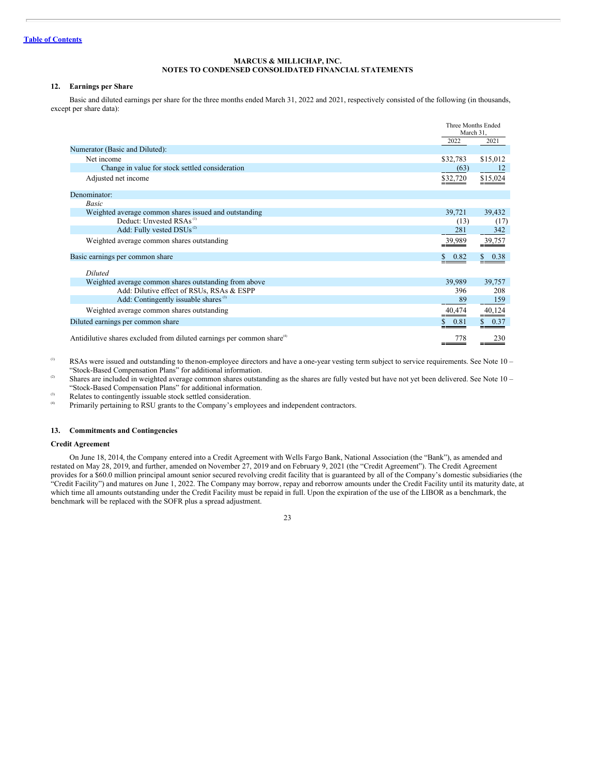# **12. Earnings per Share**

Basic and diluted earnings per share for the three months ended March 31, 2022 and 2021, respectively consisted of the following (in thousands, except per share data):

|                                                                                    | Three Months Ended | March 31, |
|------------------------------------------------------------------------------------|--------------------|-----------|
|                                                                                    | 2022               | 2021      |
| Numerator (Basic and Diluted):                                                     |                    |           |
| Net income                                                                         | \$32,783           | \$15,012  |
| Change in value for stock settled consideration                                    | (63)               | 12        |
| Adjusted net income                                                                | \$32,720           | \$15,024  |
| Denominator:                                                                       |                    |           |
| <b>Basic</b>                                                                       |                    |           |
| Weighted average common shares issued and outstanding                              | 39,721             | 39,432    |
| Deduct: Unvested RSAs <sup>(1)</sup>                                               | (13)               | (17)      |
| Add: Fully vested DSUs <sup>(2)</sup>                                              | 281                | 342       |
| Weighted average common shares outstanding                                         | 39,989             | 39,757    |
| Basic earnings per common share                                                    | 0.82               | \$ 0.38   |
| Diluted                                                                            |                    |           |
| Weighted average common shares outstanding from above                              | 39,989             | 39,757    |
| Add: Dilutive effect of RSUs, RSAs & ESPP                                          | 396                | 208       |
| Add: Contingently issuable shares <sup>(3)</sup>                                   | 89                 | 159       |
| Weighted average common shares outstanding                                         | 40,474             | 40,124    |
| Diluted earnings per common share                                                  | 0.81               | 0.37      |
| Antidilutive shares excluded from diluted earnings per common share <sup>(4)</sup> | 778                | 230       |

<sup>(i)</sup> RSAs were issued and outstanding to thenon-employee directors and have a one-year vesting term subject to service requirements. See Note 10 – "Stock-Based Compensation Plans" for additional information.

 $\degree$  Shares are included in weighted average common shares outstanding as the shares are fully vested but have not yet been delivered. See Note 10 – "Stock-Based Compensation Plans" for additional information.

 $\overset{\text{(3)}}{\text{(4)}}$  Relates to contingently issuable stock settled consideration.

Primarily pertaining to RSU grants to the Company's employees and independent contractors.

# **13. Commitments and Contingencies**

# **Credit Agreement**

On June 18, 2014, the Company entered into a Credit Agreement with Wells Fargo Bank, National Association (the "Bank"), as amended and restated on May 28, 2019, and further, amended on November 27, 2019 and on February 9, 2021 (the "Credit Agreement"). The Credit Agreement provides for a \$60.0 million principal amount senior secured revolving credit facility that is guaranteed by all of the Company's domestic subsidiaries (the "Credit Facility") and matures on June 1, 2022. The Company may borrow, repay and reborrow amounts under the Credit Facility until its maturity date, at which time all amounts outstanding under the Credit Facility must be repaid in full. Upon the expiration of the use of the LIBOR as a benchmark, the benchmark will be replaced with the SOFR plus a spread adjustment.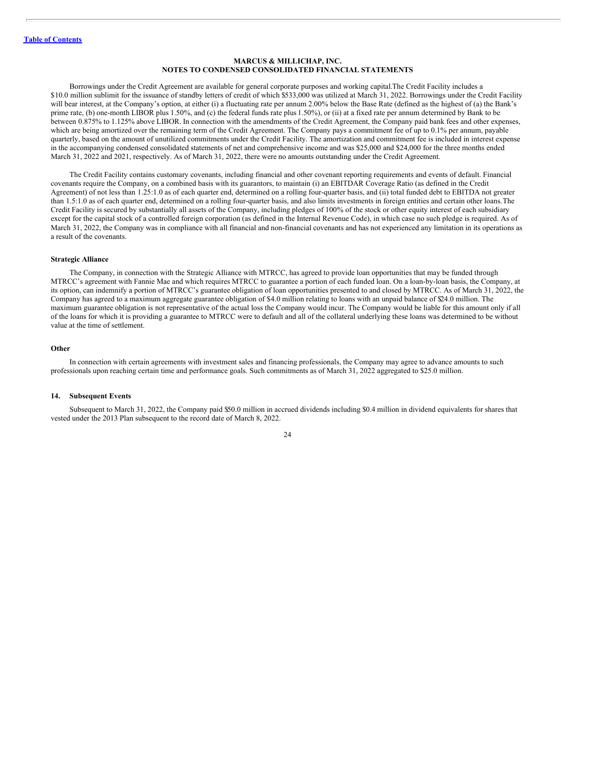Borrowings under the Credit Agreement are available for general corporate purposes and working capital.The Credit Facility includes a \$10.0 million sublimit for the issuance of standby letters of credit of which \$533,000 was utilized at March 31, 2022. Borrowings under the Credit Facility will bear interest, at the Company's option, at either (i) a fluctuating rate per annum 2.00% below the Base Rate (defined as the highest of (a) the Bank's prime rate, (b) one-month LIBOR plus 1.50%, and (c) the federal funds rate plus 1.50%), or (ii) at a fixed rate per annum determined by Bank to be between 0.875% to 1.125% above LIBOR. In connection with the amendments of the Credit Agreement, the Company paid bank fees and other expenses, which are being amortized over the remaining term of the Credit Agreement. The Company pays a commitment fee of up to 0.1% per annum, payable quarterly, based on the amount of unutilized commitments under the Credit Facility. The amortization and commitment fee is included in interest expense in the accompanying condensed consolidated statements of net and comprehensive income and was \$25,000 and \$24,000 for the three months ended March 31, 2022 and 2021, respectively. As of March 31, 2022, there were no amounts outstanding under the Credit Agreement.

The Credit Facility contains customary covenants, including financial and other covenant reporting requirements and events of default. Financial covenants require the Company, on a combined basis with its guarantors, to maintain (i) an EBITDAR Coverage Ratio (as defined in the Credit Agreement) of not less than 1.25:1.0 as of each quarter end, determined on a rolling four-quarter basis, and (ii) total funded debt to EBITDA not greater than 1.5:1.0 as of each quarter end, determined on a rolling four-quarter basis, and also limits investments in foreign entities and certain other loans.The Credit Facility is secured by substantially all assets of the Company, including pledges of 100% of the stock or other equity interest of each subsidiary except for the capital stock of a controlled foreign corporation (as defined in the Internal Revenue Code), in which case no such pledge is required. As of March 31, 2022, the Company was in compliance with all financial and non-financial covenants and has not experienced any limitation in its operations as a result of the covenants.

# **Strategic Alliance**

The Company, in connection with the Strategic Alliance with MTRCC, has agreed to provide loan opportunities that may be funded through MTRCC's agreement with Fannie Mae and which requires MTRCC to guarantee a portion of each funded loan. On a loan-by-loan basis, the Company, at its option, can indemnify a portion of MTRCC's guarantee obligation of loan opportunities presented to and closed by MTRCC. As of March 31, 2022, the Company has agreed to a maximum aggregate guarantee obligation of \$4.0 million relating to loans with an unpaid balance of \$24.0 million. The maximum guarantee obligation is not representative of the actual loss the Company would incur. The Company would be liable for this amount only if all of the loans for which it is providing a guarantee to MTRCC were to default and all of the collateral underlying these loans was determined to be without value at the time of settlement.

# **Other**

In connection with certain agreements with investment sales and financing professionals, the Company may agree to advance amounts to such professionals upon reaching certain time and performance goals. Such commitments as of March 31, 2022 aggregated to \$25.0 million.

#### **14. Subsequent Events**

Subsequent to March 31, 2022, the Company paid \$50.0 million in accrued dividends including \$0.4 million in dividend equivalents for shares that vested under the 2013 Plan subsequent to the record date of March 8, 2022.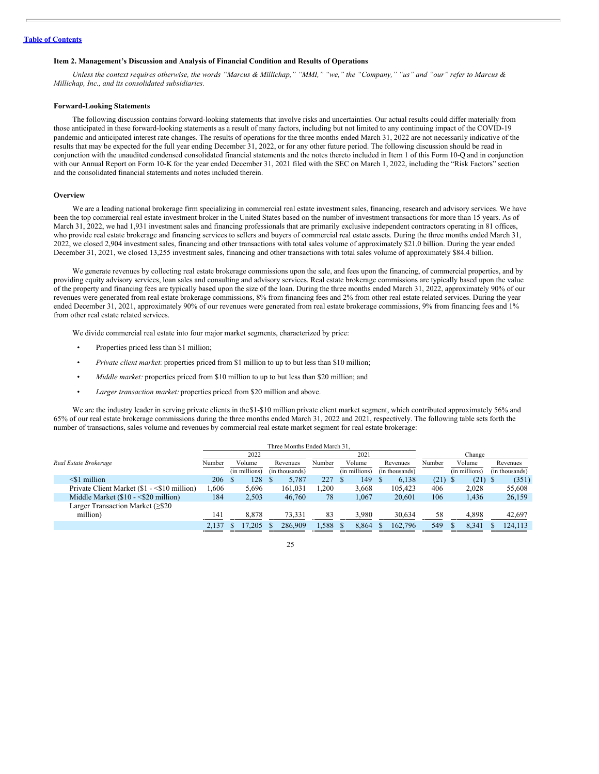#### <span id="page-25-0"></span>**Item 2. Management's Discussion and Analysis of Financial Condition and Results of Operations**

Unless the context requires otherwise, the words "Marcus & Millichap," "MMI," "we," the "Company," "us" and "our" refer to Marcus & *Millichap, Inc., and its consolidated subsidiaries.*

# **Forward-Looking Statements**

The following discussion contains forward-looking statements that involve risks and uncertainties. Our actual results could differ materially from those anticipated in these forward-looking statements as a result of many factors, including but not limited to any continuing impact of the COVID-19 pandemic and anticipated interest rate changes. The results of operations for the three months ended March 31, 2022 are not necessarily indicative of the results that may be expected for the full year ending December 31, 2022, or for any other future period. The following discussion should be read in conjunction with the unaudited condensed consolidated financial statements and the notes thereto included in Item 1 of this Form 10-Q and in conjunction with our Annual Report on Form 10-K for the year ended December 31, 2021 filed with the SEC on March 1, 2022, including the "Risk Factors" section and the consolidated financial statements and notes included therein.

#### **Overview**

We are a leading national brokerage firm specializing in commercial real estate investment sales, financing, research and advisory services. We have been the top commercial real estate investment broker in the United States based on the number of investment transactions for more than 15 years. As of March 31, 2022, we had 1,931 investment sales and financing professionals that are primarily exclusive independent contractors operating in 81 offices, who provide real estate brokerage and financing services to sellers and buyers of commercial real estate assets. During the three months ended March 31, 2022, we closed 2,904 investment sales, financing and other transactions with total sales volume of approximately \$21.0 billion. During the year ended December 31, 2021, we closed 13,255 investment sales, financing and other transactions with total sales volume of approximately \$84.4 billion.

We generate revenues by collecting real estate brokerage commissions upon the sale, and fees upon the financing, of commercial properties, and by providing equity advisory services, loan sales and consulting and advisory services. Real estate brokerage commissions are typically based upon the value of the property and financing fees are typically based upon the size of the loan. During the three months ended March 31, 2022, approximately 90% of our revenues were generated from real estate brokerage commissions, 8% from financing fees and 2% from other real estate related services. During the year ended December 31, 2021, approximately 90% of our revenues were generated from real estate brokerage commissions, 9% from financing fees and 1% from other real estate related services.

We divide commercial real estate into four major market segments, characterized by price:

- Properties priced less than \$1 million;
- *Private client market:* properties priced from \$1 million to up to but less than \$10 million;
- *Middle market:* properties priced from \$10 million to up to but less than \$20 million; and
- *Larger transaction market:* properties priced from \$20 million and above.

We are the industry leader in serving private clients in the \$1-\$10 million private client market segment, which contributed approximately 56% and 65% of our real estate brokerage commissions during the three months ended March 31, 2022 and 2021, respectively. The following table sets forth the number of transactions, sales volume and revenues by commercial real estate market segment for real estate brokerage:

|                                              | Three Months Ended March 31. |  |               |  |                |        |  |               |  |                |        |               |                |
|----------------------------------------------|------------------------------|--|---------------|--|----------------|--------|--|---------------|--|----------------|--------|---------------|----------------|
|                                              |                              |  | 2022          |  |                |        |  | 2021          |  |                |        | Change        |                |
| Real Estate Brokerage                        |                              |  | Volume        |  | Revenues       | Number |  | Volume        |  | Revenues       | Number | Volume        | Revenues       |
|                                              |                              |  | (in millions) |  | (in thousands) |        |  | (in millions) |  | (in thousands) |        | (in millions) | (in thousands) |
| $\leq$ 1 million                             | 206                          |  | 128           |  | 5.787          | 227    |  | 149           |  | 6.138          | (21)   | $(21)$ \$     | (351)          |
| Private Client Market (\$1 - < \$10 million) | .606                         |  | 5.696         |  | 161.031        | .200   |  | 3.668         |  | 105.423        | 406    | 2.028         | 55,608         |
| Middle Market $(\$10 - \$20$ million)        | 184                          |  | 2,503         |  | 46,760         | 78     |  | 1,067         |  | 20.601         | 106    | 1,436         | 26,159         |
| Larger Transaction Market (≥\$20             |                              |  |               |  |                |        |  |               |  |                |        |               |                |
| million)                                     | 141                          |  | 8.878         |  | 73,331         | 83     |  | 3,980         |  | 30,634         | 58     | 4,898         | 42,697         |
|                                              | 2,137                        |  | $-205$        |  | 286,909        | 1.588  |  | 8.864         |  | 162,796        | 549    | 8,341         | 124,113        |

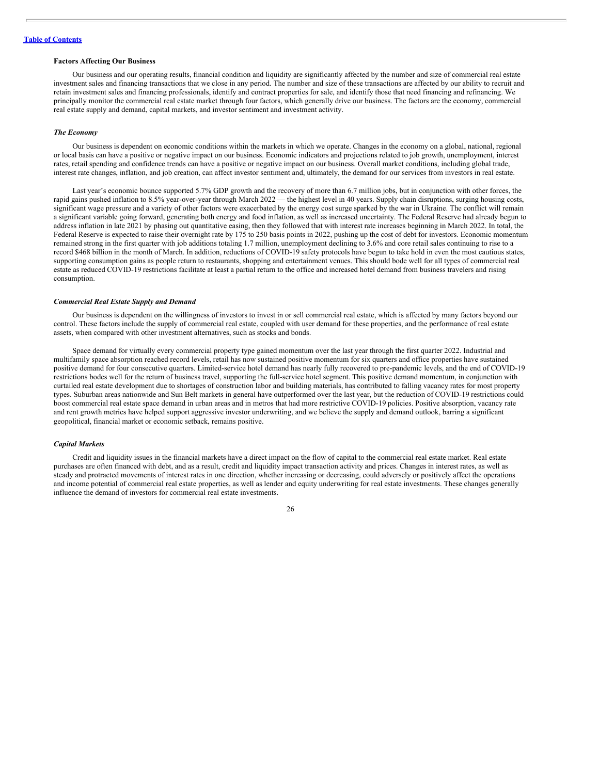#### **Factors Affecting Our Business**

Our business and our operating results, financial condition and liquidity are significantly affected by the number and size of commercial real estate investment sales and financing transactions that we close in any period. The number and size of these transactions are affected by our ability to recruit and retain investment sales and financing professionals, identify and contract properties for sale, and identify those that need financing and refinancing. We principally monitor the commercial real estate market through four factors, which generally drive our business. The factors are the economy, commercial real estate supply and demand, capital markets, and investor sentiment and investment activity.

#### *The Economy*

Our business is dependent on economic conditions within the markets in which we operate. Changes in the economy on a global, national, regional or local basis can have a positive or negative impact on our business. Economic indicators and projections related to job growth, unemployment, interest rates, retail spending and confidence trends can have a positive or negative impact on our business. Overall market conditions, including global trade, interest rate changes, inflation, and job creation, can affect investor sentiment and, ultimately, the demand for our services from investors in real estate.

Last year's economic bounce supported 5.7% GDP growth and the recovery of more than 6.7 million jobs, but in conjunction with other forces, the rapid gains pushed inflation to 8.5% year-over-year through March 2022 — the highest level in 40 years. Supply chain disruptions, surging housing costs, significant wage pressure and a variety of other factors were exacerbated by the energy cost surge sparked by the war in Ukraine. The conflict will remain a significant variable going forward, generating both energy and food inflation, as well as increased uncertainty. The Federal Reserve had already begun to address inflation in late 2021 by phasing out quantitative easing, then they followed that with interest rate increases beginning in March 2022. In total, the Federal Reserve is expected to raise their overnight rate by 175 to 250 basis points in 2022, pushing up the cost of debt for investors. Economic momentum remained strong in the first quarter with job additions totaling 1.7 million, unemployment declining to 3.6% and core retail sales continuing to rise to a record \$468 billion in the month of March. In addition, reductions of COVID-19 safety protocols have begun to take hold in even the most cautious states, supporting consumption gains as people return to restaurants, shopping and entertainment venues. This should bode well for all types of commercial real estate as reduced COVID-19 restrictions facilitate at least a partial return to the office and increased hotel demand from business travelers and rising consumption.

# *Commercial Real Estate Supply and Demand*

Our business is dependent on the willingness of investors to invest in or sell commercial real estate, which is affected by many factors beyond our control. These factors include the supply of commercial real estate, coupled with user demand for these properties, and the performance of real estate assets, when compared with other investment alternatives, such as stocks and bonds.

Space demand for virtually every commercial property type gained momentum over the last year through the first quarter 2022. Industrial and multifamily space absorption reached record levels, retail has now sustained positive momentum for six quarters and office properties have sustained positive demand for four consecutive quarters. Limited-service hotel demand has nearly fully recovered to pre-pandemic levels, and the end of COVID-19 restrictions bodes well for the return of business travel, supporting the full-service hotel segment. This positive demand momentum, in conjunction with curtailed real estate development due to shortages of construction labor and building materials, has contributed to falling vacancy rates for most property types. Suburban areas nationwide and Sun Belt markets in general have outperformed over the last year, but the reduction of COVID-19 restrictions could boost commercial real estate space demand in urban areas and in metros that had more restrictive COVID-19 policies. Positive absorption, vacancy rate and rent growth metrics have helped support aggressive investor underwriting, and we believe the supply and demand outlook, barring a significant geopolitical, financial market or economic setback, remains positive.

#### *Capital Markets*

Credit and liquidity issues in the financial markets have a direct impact on the flow of capital to the commercial real estate market. Real estate purchases are often financed with debt, and as a result, credit and liquidity impact transaction activity and prices. Changes in interest rates, as well as steady and protracted movements of interest rates in one direction, whether increasing or decreasing, could adversely or positively affect the operations and income potential of commercial real estate properties, as well as lender and equity underwriting for real estate investments. These changes generally influence the demand of investors for commercial real estate investments.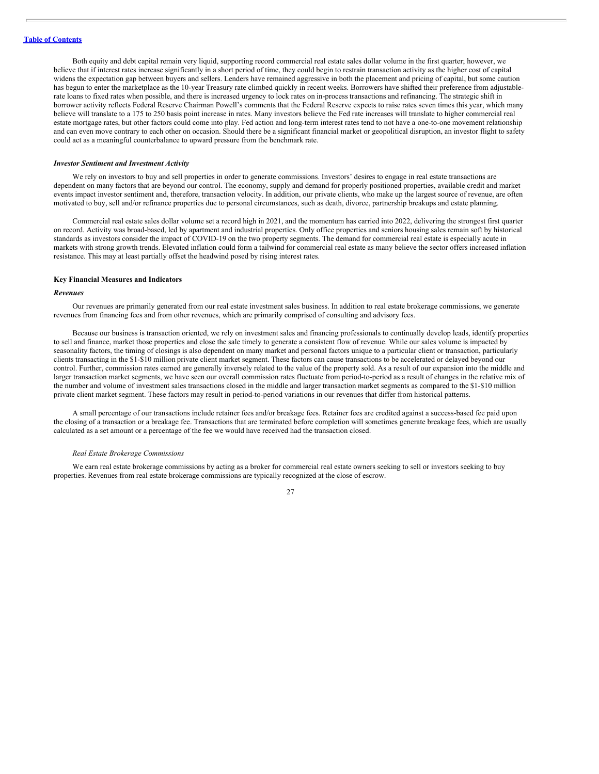Both equity and debt capital remain very liquid, supporting record commercial real estate sales dollar volume in the first quarter; however, we believe that if interest rates increase significantly in a short period of time, they could begin to restrain transaction activity as the higher cost of capital widens the expectation gap between buyers and sellers. Lenders have remained aggressive in both the placement and pricing of capital, but some caution has begun to enter the marketplace as the 10-year Treasury rate climbed quickly in recent weeks. Borrowers have shifted their preference from adjustablerate loans to fixed rates when possible, and there is increased urgency to lock rates on in-process transactions and refinancing. The strategic shift in borrower activity reflects Federal Reserve Chairman Powell's comments that the Federal Reserve expects to raise rates seven times this year, which many believe will translate to a 175 to 250 basis point increase in rates. Many investors believe the Fed rate increases will translate to higher commercial real estate mortgage rates, but other factors could come into play. Fed action and long-term interest rates tend to not have a one-to-one movement relationship and can even move contrary to each other on occasion. Should there be a significant financial market or geopolitical disruption, an investor flight to safety could act as a meaningful counterbalance to upward pressure from the benchmark rate.

# *Investor Sentiment and Investment Activity*

We rely on investors to buy and sell properties in order to generate commissions. Investors' desires to engage in real estate transactions are dependent on many factors that are beyond our control. The economy, supply and demand for properly positioned properties, available credit and market events impact investor sentiment and, therefore, transaction velocity. In addition, our private clients, who make up the largest source of revenue, are often motivated to buy, sell and/or refinance properties due to personal circumstances, such as death, divorce, partnership breakups and estate planning.

Commercial real estate sales dollar volume set a record high in 2021, and the momentum has carried into 2022, delivering the strongest first quarter on record. Activity was broad-based, led by apartment and industrial properties. Only office properties and seniors housing sales remain soft by historical standards as investors consider the impact of COVID-19 on the two property segments. The demand for commercial real estate is especially acute in markets with strong growth trends. Elevated inflation could form a tailwind for commercial real estate as many believe the sector offers increased inflation resistance. This may at least partially offset the headwind posed by rising interest rates.

# **Key Financial Measures and Indicators**

#### *Revenues*

Our revenues are primarily generated from our real estate investment sales business. In addition to real estate brokerage commissions, we generate revenues from financing fees and from other revenues, which are primarily comprised of consulting and advisory fees.

Because our business is transaction oriented, we rely on investment sales and financing professionals to continually develop leads, identify properties to sell and finance, market those properties and close the sale timely to generate a consistent flow of revenue. While our sales volume is impacted by seasonality factors, the timing of closings is also dependent on many market and personal factors unique to a particular client or transaction, particularly clients transacting in the \$1-\$10 million private client market segment. These factors can cause transactions to be accelerated or delayed beyond our control. Further, commission rates earned are generally inversely related to the value of the property sold. As a result of our expansion into the middle and larger transaction market segments, we have seen our overall commission rates fluctuate from period-to-period as a result of changes in the relative mix of the number and volume of investment sales transactions closed in the middle and larger transaction market segments as compared to the \$1-\$10 million private client market segment. These factors may result in period-to-period variations in our revenues that differ from historical patterns.

A small percentage of our transactions include retainer fees and/or breakage fees. Retainer fees are credited against a success-based fee paid upon the closing of a transaction or a breakage fee. Transactions that are terminated before completion will sometimes generate breakage fees, which are usually calculated as a set amount or a percentage of the fee we would have received had the transaction closed.

#### *Real Estate Brokerage Commissions*

We earn real estate brokerage commissions by acting as a broker for commercial real estate owners seeking to sell or investors seeking to buy properties. Revenues from real estate brokerage commissions are typically recognized at the close of escrow.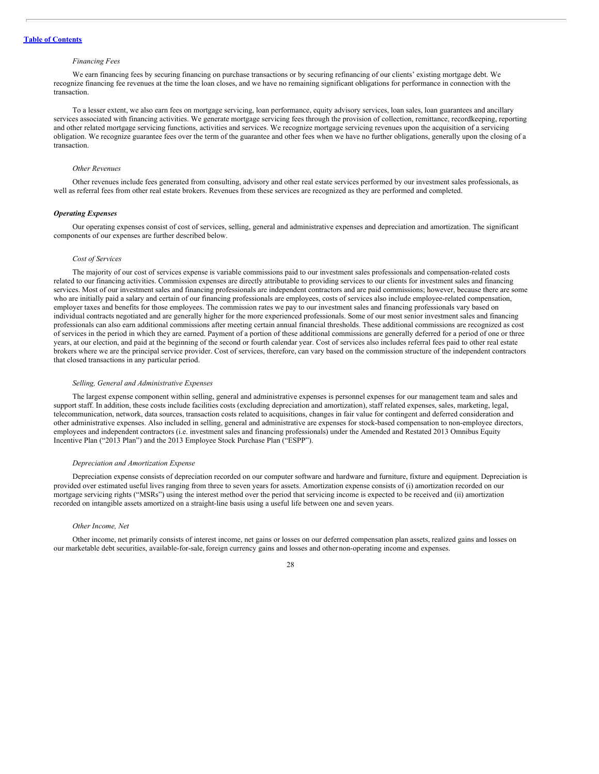#### *Financing Fees*

We earn financing fees by securing financing on purchase transactions or by securing refinancing of our clients' existing mortgage debt. We recognize financing fee revenues at the time the loan closes, and we have no remaining significant obligations for performance in connection with the transaction.

To a lesser extent, we also earn fees on mortgage servicing, loan performance, equity advisory services, loan sales, loan guarantees and ancillary services associated with financing activities. We generate mortgage servicing fees through the provision of collection, remittance, recordkeeping, reporting and other related mortgage servicing functions, activities and services. We recognize mortgage servicing revenues upon the acquisition of a servicing obligation. We recognize guarantee fees over the term of the guarantee and other fees when we have no further obligations, generally upon the closing of a transaction.

# *Other Revenues*

Other revenues include fees generated from consulting, advisory and other real estate services performed by our investment sales professionals, as well as referral fees from other real estate brokers. Revenues from these services are recognized as they are performed and completed.

# *Operating Expenses*

Our operating expenses consist of cost of services, selling, general and administrative expenses and depreciation and amortization. The significant components of our expenses are further described below.

# *Cost of Services*

The majority of our cost of services expense is variable commissions paid to our investment sales professionals and compensation-related costs related to our financing activities. Commission expenses are directly attributable to providing services to our clients for investment sales and financing services. Most of our investment sales and financing professionals are independent contractors and are paid commissions; however, because there are some who are initially paid a salary and certain of our financing professionals are employees, costs of services also include employee-related compensation, employer taxes and benefits for those employees. The commission rates we pay to our investment sales and financing professionals vary based on individual contracts negotiated and are generally higher for the more experienced professionals. Some of our most senior investment sales and financing professionals can also earn additional commissions after meeting certain annual financial thresholds. These additional commissions are recognized as cost of services in the period in which they are earned. Payment of a portion of these additional commissions are generally deferred for a period of one or three years, at our election, and paid at the beginning of the second or fourth calendar year. Cost of services also includes referral fees paid to other real estate brokers where we are the principal service provider. Cost of services, therefore, can vary based on the commission structure of the independent contractors that closed transactions in any particular period.

#### *Selling, General and Administrative Expenses*

The largest expense component within selling, general and administrative expenses is personnel expenses for our management team and sales and support staff. In addition, these costs include facilities costs (excluding depreciation and amortization), staff related expenses, sales, marketing, legal, telecommunication, network, data sources, transaction costs related to acquisitions, changes in fair value for contingent and deferred consideration and other administrative expenses. Also included in selling, general and administrative are expenses for stock-based compensation to non-employee directors, employees and independent contractors (i.e. investment sales and financing professionals) under the Amended and Restated 2013 Omnibus Equity Incentive Plan ("2013 Plan") and the 2013 Employee Stock Purchase Plan ("ESPP").

#### *Depreciation and Amortization Expense*

Depreciation expense consists of depreciation recorded on our computer software and hardware and furniture, fixture and equipment. Depreciation is provided over estimated useful lives ranging from three to seven years for assets. Amortization expense consists of (i) amortization recorded on our mortgage servicing rights ("MSRs") using the interest method over the period that servicing income is expected to be received and (ii) amortization recorded on intangible assets amortized on a straight-line basis using a useful life between one and seven years.

# *Other Income, Net*

Other income, net primarily consists of interest income, net gains or losses on our deferred compensation plan assets, realized gains and losses on our marketable debt securities, available-for-sale,foreign currency gains and losses and other non-operating income and expenses.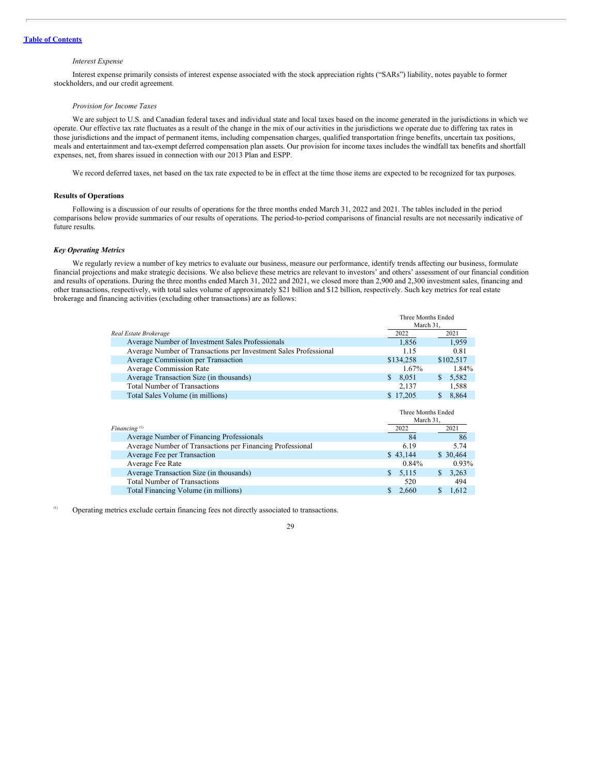#### *Interest Expense*

Interest expense primarily consists of interest expense associated with the stock appreciation rights ("SARs") liability, notes payable to former stockholders, and our credit agreement.

# *Provision for Income Taxes*

We are subject to U.S. and Canadian federal taxes and individual state and local taxes based on the income generated in the jurisdictions in which we operate. Our effective tax rate fluctuates as a result of the change in the mix of our activities in the jurisdictions we operate due to differing tax rates in those jurisdictions and the impact of permanent items, including compensation charges, qualified transportation fringe benefits, uncertain tax positions, meals and entertainment and tax-exempt deferred compensation plan assets. Our provision for income taxes includes the windfall tax benefits and shortfall expenses, net, from shares issued in connection with our 2013 Plan and ESPP.

We record deferred taxes, net based on the tax rate expected to be in effect at the time those items are expected to be recognized for tax purposes.

# **Results of Operations**

Following is a discussion of our results of operations for the three months ended March 31, 2022 and 2021. The tables included in the period comparisons below provide summaries of our results of operations. The period-to-period comparisons of financial results are not necessarily indicative of future results.

#### *Key Operating Metrics*

We regularly review a number of key metrics to evaluate our business, measure our performance, identify trends affecting our business, formulate financial projections and make strategic decisions. We also believe these metrics are relevant to investors' and others' assessment of our financial condition and results of operations. During the three months ended March 31, 2022 and 2021, we closed more than 2,900 and 2,300 investment sales, financing and other transactions, respectively, with total sales volume of approximately \$21 billion and \$12 billion, respectively. Such key metrics for real estate brokerage and financing activities (excluding other transactions) are as follows:

|                                                                  | Three Months Ended |             |  |  |  |  |  |
|------------------------------------------------------------------|--------------------|-------------|--|--|--|--|--|
|                                                                  | March 31.          |             |  |  |  |  |  |
| Real Estate Brokerage                                            | 2022               | 2021        |  |  |  |  |  |
| Average Number of Investment Sales Professionals                 | 1.856              | 1.959       |  |  |  |  |  |
| Average Number of Transactions per Investment Sales Professional | 1.15               | 0.81        |  |  |  |  |  |
| Average Commission per Transaction                               | \$134,258          | \$102.517   |  |  |  |  |  |
| <b>Average Commission Rate</b>                                   | 1.67%              | 1.84%       |  |  |  |  |  |
| Average Transaction Size (in thousands)                          | \$8.051            | 5,582<br>S. |  |  |  |  |  |
| <b>Total Number of Transactions</b>                              | 2.137              | 1,588       |  |  |  |  |  |
| Total Sales Volume (in millions)                                 | \$17.205           | 8.864       |  |  |  |  |  |

|                                                           | Three Months Ended<br>March 31, |           |
|-----------------------------------------------------------|---------------------------------|-----------|
| Financing $(1)$                                           | 2022                            | 2021      |
| Average Number of Financing Professionals                 | 84                              | 86        |
| Average Number of Transactions per Financing Professional | 6.19                            | 5.74      |
| Average Fee per Transaction                               | \$43,144                        | \$ 30,464 |
| Average Fee Rate                                          | 0.84%                           | $0.93\%$  |
| Average Transaction Size (in thousands)                   | 5,115<br>S.                     | 3,263     |
| <b>Total Number of Transactions</b>                       | 520                             | 494       |
| Total Financing Volume (in millions)                      | 2.660                           | 1.612     |

Operating metrics exclude certain financing fees not directly associated to transactions.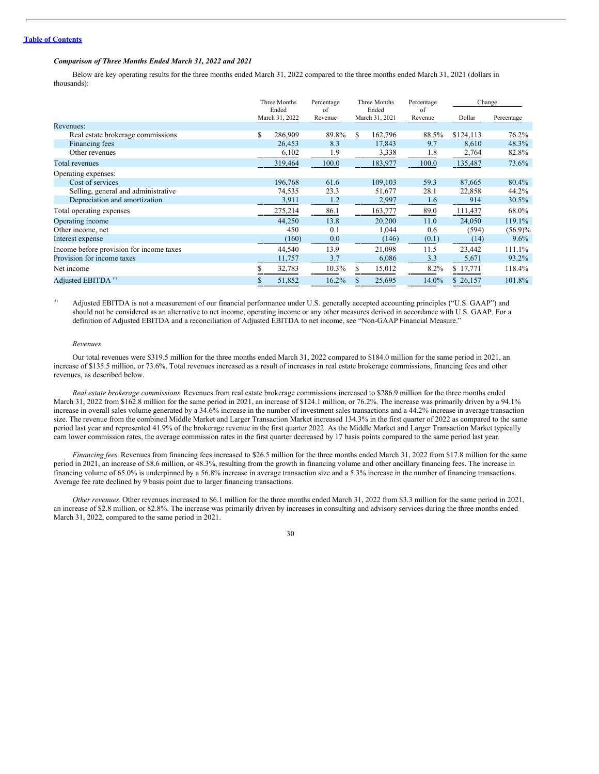#### *Comparison of Three Months Ended March 31, 2022 and 2021*

Below are key operating results for the three months ended March 31, 2022 compared to the three months ended March 31, 2021 (dollars in thousands):

|                                          | Three Months<br>Percentage<br>Ended<br>of |                | Three Months<br>Ended |   | Percentage<br>of | Change  |           |            |
|------------------------------------------|-------------------------------------------|----------------|-----------------------|---|------------------|---------|-----------|------------|
|                                          |                                           | March 31, 2022 | Revenue               |   | March 31, 2021   | Revenue | Dollar    | Percentage |
| Revenues:                                |                                           |                |                       |   |                  |         |           |            |
| Real estate brokerage commissions        | S                                         | 286,909        | 89.8%                 | S | 162,796          | 88.5%   | \$124,113 | 76.2%      |
| Financing fees                           |                                           | 26,453         | 8.3                   |   | 17,843           | 9.7     | 8,610     | 48.3%      |
| Other revenues                           |                                           | 6,102          | 1.9                   |   | 3,338            | 1.8     | 2,764     | 82.8%      |
| Total revenues                           |                                           | 319,464        | 100.0                 |   | 183,977          | 100.0   | 135,487   | 73.6%      |
| Operating expenses:                      |                                           |                |                       |   |                  |         |           |            |
| Cost of services                         |                                           | 196,768        | 61.6                  |   | 109,103          | 59.3    | 87,665    | 80.4%      |
| Selling, general and administrative      |                                           | 74,535         | 23.3                  |   | 51,677           | 28.1    | 22,858    | 44.2%      |
| Depreciation and amortization            |                                           | 3,911          | 1.2                   |   | 2,997            | 1.6     | 914       | 30.5%      |
| Total operating expenses                 |                                           | 275,214        | 86.1                  |   | 163,777          | 89.0    | 111,437   | 68.0%      |
| Operating income                         |                                           | 44,250         | 13.8                  |   | 20,200           | 11.0    | 24,050    | 119.1%     |
| Other income, net                        |                                           | 450            | 0.1                   |   | 1,044            | 0.6     | (594)     | $(56.9)\%$ |
| Interest expense                         |                                           | (160)          | 0.0                   |   | (146)            | (0.1)   | (14)      | 9.6%       |
| Income before provision for income taxes |                                           | 44,540         | 13.9                  |   | 21,098           | 11.5    | 23,442    | 111.1%     |
| Provision for income taxes               |                                           | 11,757         | 3.7                   |   | 6,086            | 3.3     | 5,671     | 93.2%      |
| Net income                               | ה.                                        | 32,783         | 10.3%                 | S | 15,012           | 8.2%    | \$17,771  | 118.4%     |
| Adjusted EBITDA <sup>(1)</sup>           |                                           | 51,852         | 16.2%                 |   | 25,695           | 14.0%   | \$26,157  | 101.8%     |

<sup>(i)</sup> Adjusted EBITDA is not a measurement of our financial performance under U.S. generally accepted accounting principles ("U.S. GAAP") and should not be considered as an alternative to net income, operating income or any other measures derived in accordance with U.S. GAAP. For a definition of Adjusted EBITDA and a reconciliation of Adjusted EBITDA to net income, see "Non-GAAP Financial Measure."

# *Revenues*

Our total revenues were \$319.5 million for the three months ended March 31, 2022 compared to \$184.0 million for the same period in 2021, an increase of \$135.5 million, or 73.6%. Total revenues increased as a result of increases in real estate brokerage commissions, financing fees and other revenues, as described below.

*Real estate brokerage commissions.* Revenues from real estate brokerage commissions increased to \$286.9 million for the three months ended March 31, 2022 from \$162.8 million for the same period in 2021, an increase of \$124.1 million, or 76.2%. The increase was primarily driven by a 94.1% increase in overall sales volume generated by a 34.6% increase in the number of investment sales transactions and a 44.2% increase in average transaction size. The revenue from the combined Middle Market and Larger Transaction Market increased 134.3% in the first quarter of 2022 as compared to the same period last year and represented 41.9% of the brokerage revenue in the first quarter 2022. As the Middle Market and Larger Transaction Market typically earn lower commission rates, the average commission rates in the first quarter decreased by 17 basis points compared to the same period last year.

*Financing fees.* Revenues from financing fees increased to \$26.5 million for the three months ended March 31, 2022 from \$17.8 million for the same period in 2021, an increase of \$8.6 million, or 48.3%, resulting from the growth in financing volume and other ancillary financing fees. The increase in financing volume of 65.0% is underpinned by a 56.8% increase in average transaction size and a 5.3% increase in the number of financing transactions. Average fee rate declined by 9 basis point due to larger financing transactions.

*Other revenues.* Other revenues increased to \$6.1 million for the three months ended March 31, 2022 from \$3.3 million for the same period in 2021, an increase of \$2.8 million, or 82.8%. The increase was primarily driven by increases in consulting and advisory services during the three months ended March 31, 2022, compared to the same period in 2021.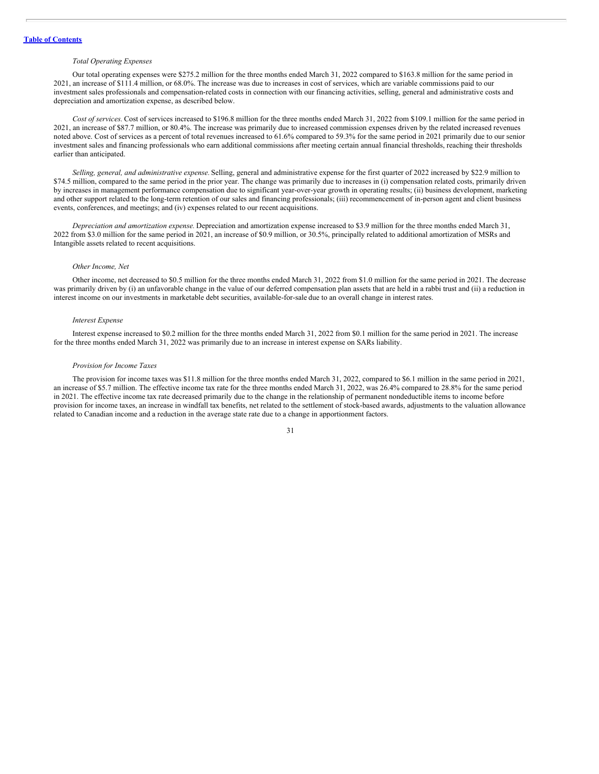#### *Total Operating Expenses*

Our total operating expenses were \$275.2 million for the three months ended March 31, 2022 compared to \$163.8 million for the same period in 2021, an increase of \$111.4 million, or 68.0%. The increase was due to increases in cost of services, which are variable commissions paid to our investment sales professionals and compensation-related costs in connection with our financing activities, selling, general and administrative costs and depreciation and amortization expense, as described below.

*Cost of services.* Cost of services increased to \$196.8 million for the three months ended March 31, 2022 from \$109.1 million for the same period in 2021, an increase of \$87.7 million, or 80.4%. The increase was primarily due to increased commission expenses driven by the related increased revenues noted above. Cost of services as a percent of total revenues increased to 61.6% compared to 59.3% for the same period in 2021 primarily due to our senior investment sales and financing professionals who earn additional commissions after meeting certain annual financial thresholds, reaching their thresholds earlier than anticipated.

*Selling, general, and administrative expense.* Selling, general and administrative expense for the first quarter of 2022 increased by \$22.9 million to \$74.5 million, compared to the same period in the prior year. The change was primarily due to increases in (i) compensation related costs, primarily driven by increases in management performance compensation due to significant year-over-year growth in operating results; (ii) business development, marketing and other support related to the long-term retention of our sales and financing professionals; (iii) recommencement of in-person agent and client business events, conferences, and meetings; and (iv) expenses related to our recent acquisitions.

*Depreciation and amortization expense.* Depreciation and amortization expense increased to \$3.9 million for the three months ended March 31, 2022 from \$3.0 million for the same period in 2021, an increase of \$0.9 million, or 30.5%, principally related to additional amortization of MSRs and Intangible assets related to recent acquisitions.

#### *Other Income, Net*

Other income, net decreased to \$0.5 million for the three months ended March 31, 2022 from \$1.0 million for the same period in 2021. The decrease was primarily driven by (i) an unfavorable change in the value of our deferred compensation plan assets that are held in a rabbi trust and (ii) a reduction in interest income on our investments in marketable debt securities, available-for-sale due to an overall change in interest rates.

#### *Interest Expense*

Interest expense increased to \$0.2 million for the three months ended March 31, 2022 from \$0.1 million for the same period in 2021. The increase for the three months ended March 31, 2022 was primarily due to an increase in interest expense on SARs liability.

#### *Provision for Income Taxes*

The provision for income taxes was \$11.8 million for the three months ended March 31, 2022, compared to \$6.1 million in the same period in 2021, an increase of \$5.7 million. The effective income tax rate for the three months ended March 31, 2022, was 26.4% compared to 28.8% for the same period in 2021. The effective income tax rate decreased primarily due to the change in the relationship of permanent nondeductible items to income before provision for income taxes, an increase in windfall tax benefits, net related to the settlement of stock-based awards, adjustments to the valuation allowance related to Canadian income and a reduction in the average state rate due to a change in apportionment factors.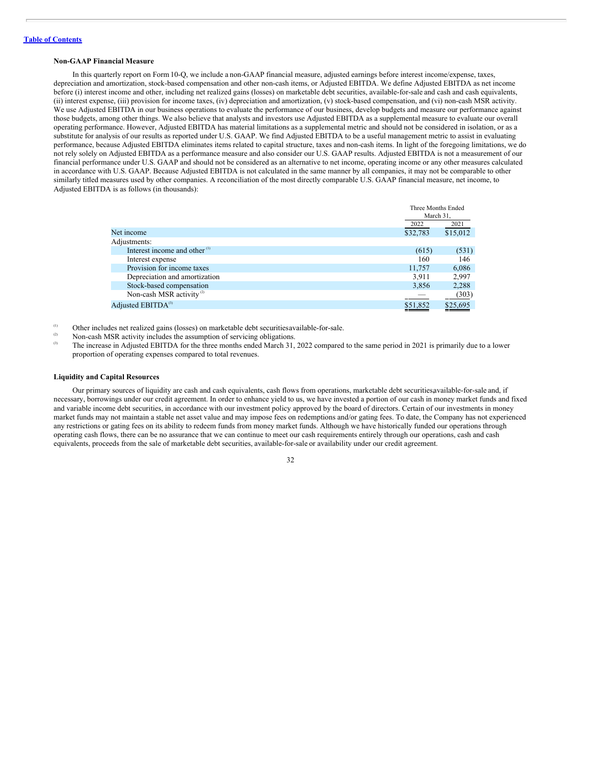#### **Non-GAAP Financial Measure**

In this quarterly report on Form 10-Q, we include a non-GAAP financial measure, adjusted earnings before interest income/expense, taxes, depreciation and amortization, stock-based compensation and other non-cash items, or Adjusted EBITDA. We define Adjusted EBITDA as net income before (i) interest income and other, including net realized gains (losses) on marketable debt securities, available-for-sale and cash and cash equivalents, (ii) interest expense, (iii) provision for income taxes, (iv) depreciation and amortization, (v) stock-based compensation, and (vi) non-cash MSR activity. We use Adjusted EBITDA in our business operations to evaluate the performance of our business, develop budgets and measure our performance against those budgets, among other things. We also believe that analysts and investors use Adjusted EBITDA as a supplemental measure to evaluate our overall operating performance. However, Adjusted EBITDA has material limitations as a supplemental metric and should not be considered in isolation, or as a substitute for analysis of our results as reported under U.S. GAAP. We find Adjusted EBITDA to be a useful management metric to assist in evaluating performance, because Adjusted EBITDA eliminates items related to capital structure, taxes and non-cash items. In light of the foregoing limitations, we do not rely solely on Adjusted EBITDA as a performance measure and also consider our U.S. GAAP results. Adjusted EBITDA is not a measurement of our financial performance under U.S. GAAP and should not be considered as an alternative to net income, operating income or any other measures calculated in accordance with U.S. GAAP. Because Adjusted EBITDA is not calculated in the same manner by all companies, it may not be comparable to other similarly titled measures used by other companies. A reconciliation of the most directly comparable U.S. GAAP financial measure, net income, to Adjusted EBITDA is as follows (in thousands):

|                                          |          | Three Months Ended<br>March 31, |  |
|------------------------------------------|----------|---------------------------------|--|
|                                          | 2022     | 2021                            |  |
| Net income                               | \$32,783 | \$15,012                        |  |
| Adjustments:                             |          |                                 |  |
| Interest income and other <sup>(1)</sup> | (615)    | (531)                           |  |
| Interest expense                         | 160      | 146                             |  |
| Provision for income taxes               | 11,757   | 6,086                           |  |
| Depreciation and amortization            | 3,911    | 2,997                           |  |
| Stock-based compensation                 | 3,856    | 2,288                           |  |
| Non-cash MSR activity <sup>(2)</sup>     |          | (303)                           |  |
| Adjusted EBITDA <sup>(3)</sup>           | \$51,852 | \$25,695                        |  |
|                                          |          |                                 |  |

<sup>(1)</sup> Other includes net realized gains (losses) on marketable debt securities available-for-sale.

- Non-cash MSR activity includes the assumption of servicing obligations.
- The increase in Adjusted EBITDA for the three months ended March 31, 2022 compared to the same period in 2021 is primarily due to a lower proportion of operating expenses compared to total revenues.

# **Liquidity and Capital Resources**

Our primary sources of liquidity are cash and cash equivalents, cash flows from operations, marketable debt securities available-for-sale and, if necessary, borrowings under our credit agreement. In order to enhance yield to us, we have invested a portion of our cash in money market funds and fixed and variable income debt securities, in accordance with our investment policy approved by the board of directors. Certain of our investments in money market funds may not maintain a stable net asset value and may impose fees on redemptions and/or gating fees. To date, the Company has not experienced any restrictions or gating fees on its ability to redeem funds from money market funds. Although we have historically funded our operations through operating cash flows, there can be no assurance that we can continue to meet our cash requirements entirely through our operations, cash and cash equivalents, proceeds from the sale of marketable debt securities, available-for-sale or availability under our credit agreement.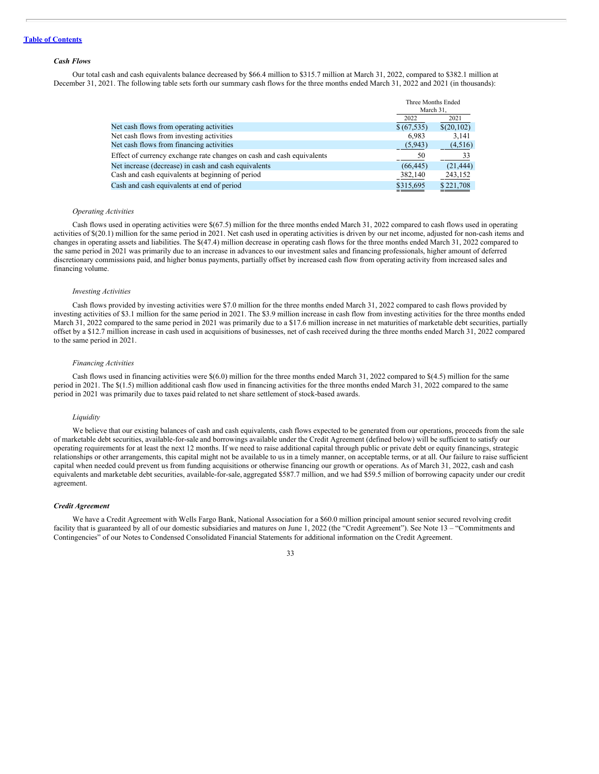#### *Cash Flows*

Our total cash and cash equivalents balance decreased by \$66.4 million to \$315.7 million at March 31, 2022, compared to \$382.1 million at December 31, 2021. The following table sets forth our summary cash flows for the three months ended March 31, 2022 and 2021 (in thousands):

|                                                                       |              | Three Months Ended<br>March 31, |  |
|-----------------------------------------------------------------------|--------------|---------------------------------|--|
|                                                                       | 2022         | 2021                            |  |
| Net cash flows from operating activities                              | \$ (67, 535) | \$(20,102)                      |  |
| Net cash flows from investing activities                              | 6.983        | 3,141                           |  |
| Net cash flows from financing activities                              | (5, 943)     | (4, 516)                        |  |
| Effect of currency exchange rate changes on cash and cash equivalents | 50           | 33                              |  |
| Net increase (decrease) in cash and cash equivalents                  | (66, 445)    | (21, 444)                       |  |
| Cash and cash equivalents at beginning of period                      | 382,140      | 243,152                         |  |
| Cash and cash equivalents at end of period                            | \$315,695    | \$221,708                       |  |

#### *Operating Activities*

Cash flows used in operating activities were \$(67.5) million for the three months ended March 31, 2022 compared to cash flows used in operating activities of \$(20.1) million for the same period in 2021. Net cash used in operating activities is driven by our net income, adjusted for non-cash items and changes in operating assets and liabilities. The \$(47.4) million decrease in operating cash flows for the three months ended March 31, 2022 compared to the same period in 2021 was primarily due to an increase in advances to our investment sales and financing professionals, higher amount of deferred discretionary commissions paid, and higher bonus payments, partially offset by increased cash flow from operating activity from increased sales and financing volume.

#### *Investing Activities*

Cash flows provided by investing activities were \$7.0 million for the three months ended March 31, 2022 compared to cash flows provided by investing activities of \$3.1 million for the same period in 2021. The \$3.9 million increase in cash flow from investing activities for the three months ended March 31, 2022 compared to the same period in 2021 was primarily due to a \$17.6 million increase in net maturities of marketable debt securities, partially offset by a \$12.7 million increase in cash used in acquisitions of businesses, net of cash received during the three months ended March 31, 2022 compared to the same period in 2021.

#### *Financing Activities*

Cash flows used in financing activities were \$(6.0) million for the three months ended March 31, 2022 compared to \$(4.5) million for the same period in 2021. The \$(1.5) million additional cash flow used in financing activities for the three months ended March 31, 2022 compared to the same period in 2021 was primarily due to taxes paid related to net share settlement of stock-based awards.

#### *Liquidity*

We believe that our existing balances of cash and cash equivalents, cash flows expected to be generated from our operations, proceeds from the sale of marketable debt securities, available-for-sale and borrowings available under the Credit Agreement (defined below) will be sufficient to satisfy our operating requirements for at least the next 12 months. If we need to raise additional capital through public or private debt or equity financings, strategic relationships or other arrangements, this capital might not be available to us in a timely manner, on acceptable terms, or at all. Our failure to raise sufficient capital when needed could prevent us from funding acquisitions or otherwise financing our growth or operations. As of March 31, 2022, cash and cash equivalents and marketable debt securities, available-for-sale, aggregated \$587.7 million, and we had \$59.5 million of borrowing capacity under our credit agreement.

#### *Credit Agreement*

We have a Credit Agreement with Wells Fargo Bank, National Association for a \$60.0 million principal amount senior secured revolving credit facility that is guaranteed by all of our domestic subsidiaries and matures on June 1, 2022 (the "Credit Agreement"). See Note 13 – "Commitments and Contingencies" of our Notes to Condensed Consolidated Financial Statements for additional information on the Credit Agreement.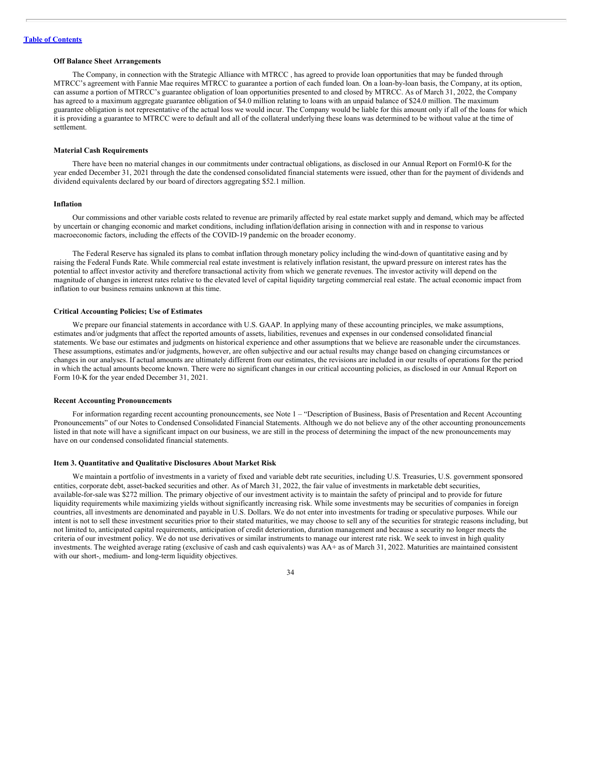#### **Off Balance Sheet Arrangements**

The Company, in connection with the Strategic Alliance with MTRCC , has agreed to provide loan opportunities that may be funded through MTRCC's agreement with Fannie Mae requires MTRCC to guarantee a portion of each funded loan. On a loan-by-loan basis, the Company, at its option, can assume a portion of MTRCC's guarantee obligation of loan opportunities presented to and closed by MTRCC. As of March 31, 2022, the Company has agreed to a maximum aggregate guarantee obligation of \$4.0 million relating to loans with an unpaid balance of \$24.0 million. The maximum guarantee obligation is not representative of the actual loss we would incur. The Company would be liable for this amount only if all of the loans for which it is providing a guarantee to MTRCC were to default and all of the collateral underlying these loans was determined to be without value at the time of settlement.

#### **Material Cash Requirements**

There have been no material changes in our commitments under contractual obligations, as disclosed in our Annual Report on Form10-K for the year ended December 31, 2021 through the date the condensed consolidated financial statements were issued, other than for the payment of dividends and dividend equivalents declared by our board of directors aggregating \$52.1 million.

# **Inflation**

Our commissions and other variable costs related to revenue are primarily affected by real estate market supply and demand, which may be affected by uncertain or changing economic and market conditions, including inflation/deflation arising in connection with and in response to various macroeconomic factors, including the effects of the COVID-19 pandemic on the broader economy.

The Federal Reserve has signaled its plans to combat inflation through monetary policy including the wind-down of quantitative easing and by raising the Federal Funds Rate. While commercial real estate investment is relatively inflation resistant, the upward pressure on interest rates has the potential to affect investor activity and therefore transactional activity from which we generate revenues. The investor activity will depend on the magnitude of changes in interest rates relative to the elevated level of capital liquidity targeting commercial real estate. The actual economic impact from inflation to our business remains unknown at this time.

#### **Critical Accounting Policies; Use of Estimates**

We prepare our financial statements in accordance with U.S. GAAP. In applying many of these accounting principles, we make assumptions, estimates and/or judgments that affect the reported amounts of assets, liabilities, revenues and expenses in our condensed consolidated financial statements. We base our estimates and judgments on historical experience and other assumptions that we believe are reasonable under the circumstances. These assumptions, estimates and/or judgments, however, are often subjective and our actual results may change based on changing circumstances or changes in our analyses. If actual amounts are ultimately different from our estimates, the revisions are included in our results of operations for the period in which the actual amounts become known. There were no significant changes in our critical accounting policies, as disclosed in our Annual Report on Form 10-K for the year ended December 31, 2021.

# **Recent Accounting Pronouncements**

For information regarding recent accounting pronouncements, see Note 1 – "Description of Business, Basis of Presentation and Recent Accounting Pronouncements" of our Notes to Condensed Consolidated Financial Statements. Although we do not believe any of the other accounting pronouncements listed in that note will have a significant impact on our business, we are still in the process of determining the impact of the new pronouncements may have on our condensed consolidated financial statements.

#### <span id="page-34-0"></span>**Item 3. Quantitative and Qualitative Disclosures About Market Risk**

We maintain a portfolio of investments in a variety of fixed and variable debt rate securities, including U.S. Treasuries, U.S. government sponsored entities, corporate debt, asset-backed securities and other. As of March 31, 2022, the fair value of investments in marketable debt securities, available-for-sale was \$272 million. The primary objective of our investment activity is to maintain the safety of principal and to provide for future liquidity requirements while maximizing yields without significantly increasing risk. While some investments may be securities of companies in foreign countries, all investments are denominated and payable in U.S. Dollars. We do not enter into investments for trading or speculative purposes. While our intent is not to sell these investment securities prior to their stated maturities, we may choose to sell any of the securities for strategic reasons including, but not limited to, anticipated capital requirements, anticipation of credit deterioration, duration management and because a security no longer meets the criteria of our investment policy. We do not use derivatives or similar instruments to manage our interest rate risk. We seek to invest in high quality investments. The weighted average rating (exclusive of cash and cash equivalents) was AA+ as of March 31, 2022. Maturities are maintained consistent with our short-, medium- and long-term liquidity objectives.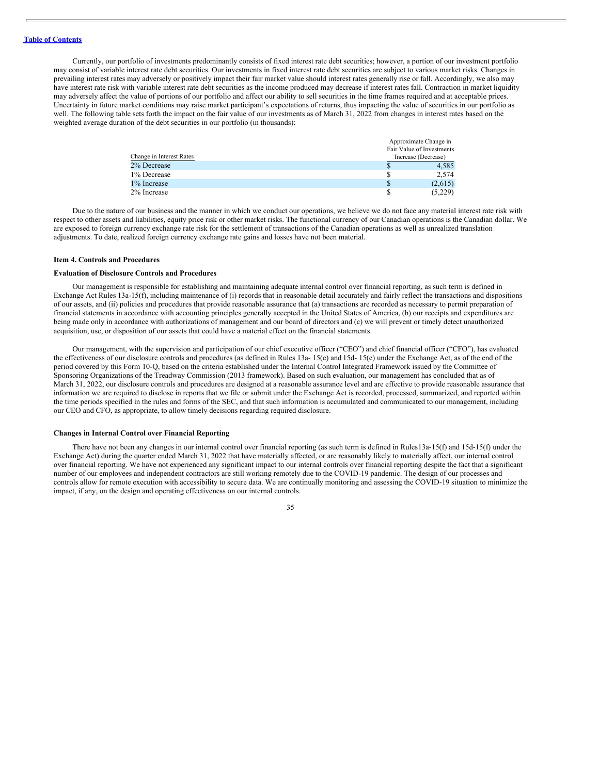Currently, our portfolio of investments predominantly consists of fixed interest rate debt securities; however, a portion of our investment portfolio may consist of variable interest rate debt securities. Our investments in fixed interest rate debt securities are subject to various market risks. Changes in prevailing interest rates may adversely or positively impact their fair market value should interest rates generally rise or fall. Accordingly, we also may have interest rate risk with variable interest rate debt securities as the income produced may decrease if interest rates fall. Contraction in market liquidity may adversely affect the value of portions of our portfolio and affect our ability to sell securities in the time frames required and at acceptable prices. Uncertainty in future market conditions may raise market participant's expectations of returns, thus impacting the value of securities in our portfolio as well. The following table sets forth the impact on the fair value of our investments as of March 31, 2022 from changes in interest rates based on the weighted average duration of the debt securities in our portfolio (in thousands):

|                          |   | Approximate Change in     |
|--------------------------|---|---------------------------|
|                          |   | Fair Value of Investments |
| Change in Interest Rates |   | Increase (Decrease)       |
| 2% Decrease              |   | 4.585                     |
| 1% Decrease              | S | 2.574                     |
| 1% Increase              |   | (2,615)                   |
| 2% Increase              | S | (5,229)                   |

Due to the nature of our business and the manner in which we conduct our operations, we believe we do not face any material interest rate risk with respect to other assets and liabilities, equity price risk or other market risks. The functional currency of our Canadian operations is the Canadian dollar. We are exposed to foreign currency exchange rate risk for the settlement of transactions of the Canadian operations as well as unrealized translation adjustments. To date, realized foreign currency exchange rate gains and losses have not been material.

# <span id="page-35-0"></span>**Item 4. Controls and Procedures**

# **Evaluation of Disclosure Controls and Procedures**

Our management is responsible for establishing and maintaining adequate internal control over financial reporting, as such term is defined in Exchange Act Rules 13a-15(f), including maintenance of (i) records that in reasonable detail accurately and fairly reflect the transactions and dispositions of our assets, and (ii) policies and procedures that provide reasonable assurance that (a) transactions are recorded as necessary to permit preparation of financial statements in accordance with accounting principles generally accepted in the United States of America, (b) our receipts and expenditures are being made only in accordance with authorizations of management and our board of directors and (c) we will prevent or timely detect unauthorized acquisition, use, or disposition of our assets that could have a material effect on the financial statements.

Our management, with the supervision and participation of our chief executive officer ("CEO") and chief financial officer ("CFO"), has evaluated the effectiveness of our disclosure controls and procedures (as defined in Rules 13a- 15(e) and 15d- 15(e) under the Exchange Act, as of the end of the period covered by this Form 10-Q, based on the criteria established under the Internal Control Integrated Framework issued by the Committee of Sponsoring Organizations of the Treadway Commission (2013 framework). Based on such evaluation, our management has concluded that as of March 31, 2022, our disclosure controls and procedures are designed at a reasonable assurance level and are effective to provide reasonable assurance that information we are required to disclose in reports that we file or submit under the Exchange Act is recorded, processed, summarized, and reported within the time periods specified in the rules and forms of the SEC, and that such information is accumulated and communicated to our management, including our CEO and CFO, as appropriate, to allow timely decisions regarding required disclosure.

# **Changes in Internal Control over Financial Reporting**

There have not been any changes in our internal control over financial reporting (as such term is defined in Rules13a-15(f) and 15d-15(f) under the Exchange Act) during the quarter ended March 31, 2022 that have materially affected, or are reasonably likely to materially affect, our internal control over financial reporting. We have not experienced any significant impact to our internal controls over financial reporting despite the fact that a significant number of our employees and independent contractors are still working remotely due to the COVID-19 pandemic. The design of our processes and controls allow for remote execution with accessibility to secure data. We are continually monitoring and assessing the COVID-19 situation to minimize the impact, if any, on the design and operating effectiveness on our internal controls.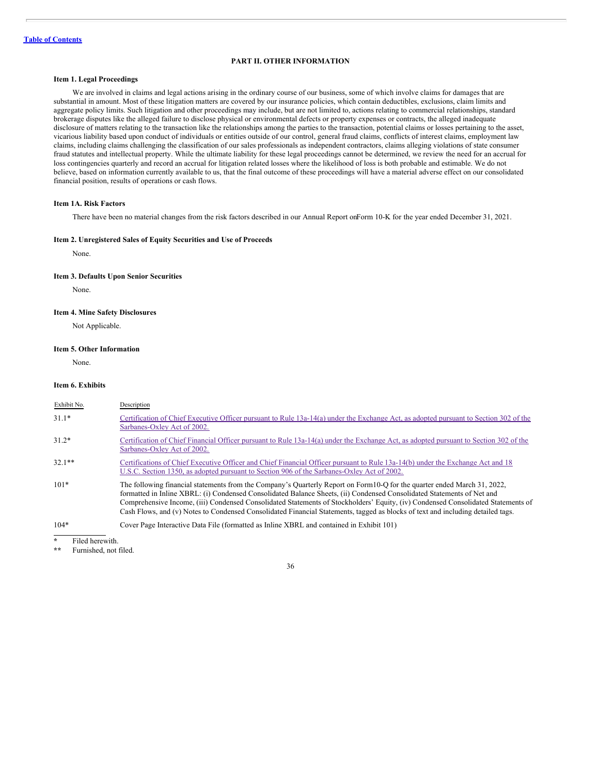# **PART II. OTHER INFORMATION**

# <span id="page-36-1"></span><span id="page-36-0"></span>**Item 1. Legal Proceedings**

We are involved in claims and legal actions arising in the ordinary course of our business, some of which involve claims for damages that are substantial in amount. Most of these litigation matters are covered by our insurance policies, which contain deductibles, exclusions, claim limits and aggregate policy limits. Such litigation and other proceedings may include, but are not limited to, actions relating to commercial relationships, standard brokerage disputes like the alleged failure to disclose physical or environmental defects or property expenses or contracts, the alleged inadequate disclosure of matters relating to the transaction like the relationships among the parties to the transaction, potential claims or losses pertaining to the asset, vicarious liability based upon conduct of individuals or entities outside of our control, general fraud claims, conflicts of interest claims, employment law claims, including claims challenging the classification of our sales professionals as independent contractors, claims alleging violations of state consumer fraud statutes and intellectual property. While the ultimate liability for these legal proceedings cannot be determined, we review the need for an accrual for loss contingencies quarterly and record an accrual for litigation related losses where the likelihood of loss is both probable and estimable. We do not believe, based on information currently available to us, that the final outcome of these proceedings will have a material adverse effect on our consolidated financial position, results of operations or cash flows.

# <span id="page-36-2"></span>**Item 1A. Risk Factors**

There have been no material changes from the risk factors described in our Annual Report onForm 10-K for the year ended December 31, 2021.

# <span id="page-36-3"></span>**Item 2. Unregistered Sales of Equity Securities and Use of Proceeds**

None.

# <span id="page-36-4"></span>**Item 3. Defaults Upon Senior Securities**

None.

# <span id="page-36-5"></span>**Item 4. Mine Safety Disclosures**

Not Applicable.

# <span id="page-36-6"></span>**Item 5. Other Information**

None.

# <span id="page-36-7"></span>**Item 6. Exhibits**

| Exhibit No. | Description                                                                                                                                                                                                                                                                                                                                                                                                                                                                                                                |
|-------------|----------------------------------------------------------------------------------------------------------------------------------------------------------------------------------------------------------------------------------------------------------------------------------------------------------------------------------------------------------------------------------------------------------------------------------------------------------------------------------------------------------------------------|
| $31.1*$     | Certification of Chief Executive Officer pursuant to Rule 13a-14(a) under the Exchange Act, as adopted pursuant to Section 302 of the<br>Sarbanes-Oxley Act of 2002.                                                                                                                                                                                                                                                                                                                                                       |
| $31.2*$     | Certification of Chief Financial Officer pursuant to Rule 13a-14(a) under the Exchange Act, as adopted pursuant to Section 302 of the<br>Sarbanes-Oxley Act of 2002.                                                                                                                                                                                                                                                                                                                                                       |
| $32.1**$    | Certifications of Chief Executive Officer and Chief Financial Officer pursuant to Rule 13a-14(b) under the Exchange Act and 18<br>U.S.C. Section 1350, as adopted pursuant to Section 906 of the Sarbanes-Oxley Act of 2002.                                                                                                                                                                                                                                                                                               |
| $101*$      | The following financial statements from the Company's Quarterly Report on Form 10-Q for the quarter ended March 31, 2022,<br>formatted in Inline XBRL: (i) Condensed Consolidated Balance Sheets, (ii) Condensed Consolidated Statements of Net and<br>Comprehensive Income, (iii) Condensed Consolidated Statements of Stockholders' Equity, (iv) Condensed Consolidated Statements of<br>Cash Flows, and (v) Notes to Condensed Consolidated Financial Statements, tagged as blocks of text and including detailed tags. |
| $104*$      | Cover Page Interactive Data File (formatted as Inline XBRL and contained in Exhibit 101)                                                                                                                                                                                                                                                                                                                                                                                                                                   |

**\*** Filed herewith.

Furnished, not filed.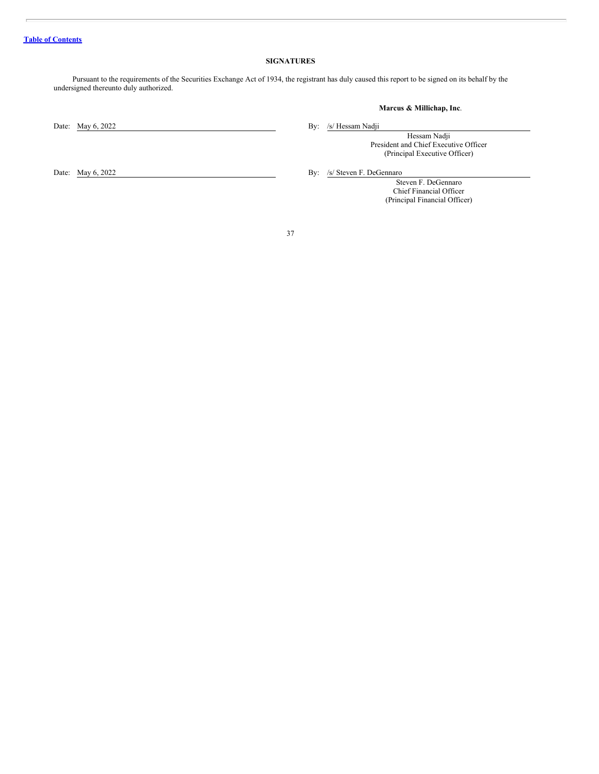# **SIGNATURES**

<span id="page-37-0"></span>Pursuant to the requirements of the Securities Exchange Act of 1934, the registrant has duly caused this report to be signed on its behalf by the undersigned thereunto duly authorized.

# **Marcus & Millichap, Inc**.

Date: May 6, 2022 By: /s/ Hessam Nadji

Hessam Nadji President and Chief Executive Officer (Principal Executive Officer)

Date: May 6, 2022 By: /s/ Steven F. DeGennaro

Steven F. DeGennaro Chief Financial Officer (Principal Financial Officer)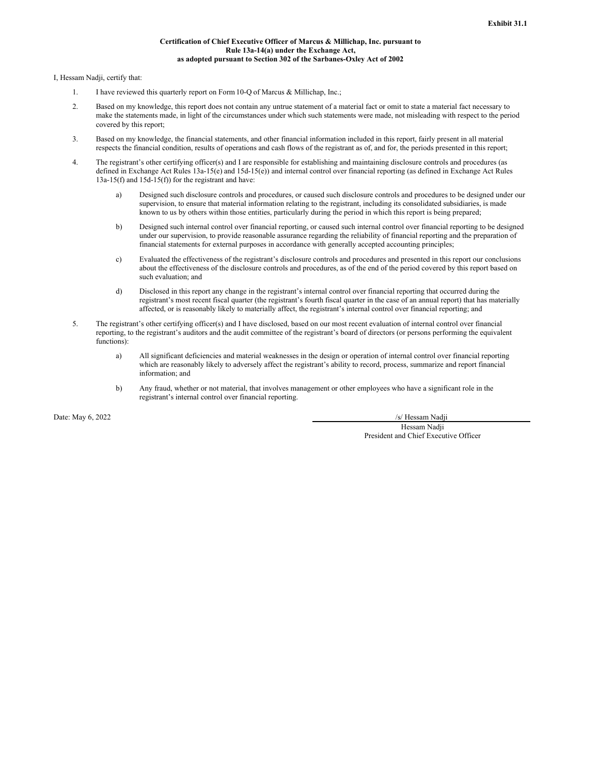# **Certification of Chief Executive Officer of Marcus & Millichap, Inc. pursuant to Rule 13a-14(a) under the Exchange Act, as adopted pursuant to Section 302 of the Sarbanes-Oxley Act of 2002**

<span id="page-38-0"></span>I, Hessam Nadji, certify that:

- 1. I have reviewed this quarterly report on Form10-Q of Marcus & Millichap, Inc.;
- 2. Based on my knowledge, this report does not contain any untrue statement of a material fact or omit to state a material fact necessary to make the statements made, in light of the circumstances under which such statements were made, not misleading with respect to the period covered by this report;
- 3. Based on my knowledge, the financial statements, and other financial information included in this report, fairly present in all material respects the financial condition, results of operations and cash flows of the registrant as of, and for, the periods presented in this report;
- 4. The registrant's other certifying officer(s) and I are responsible for establishing and maintaining disclosure controls and procedures (as defined in Exchange Act Rules 13a-15(e) and 15d-15(e)) and internal control over financial reporting (as defined in Exchange Act Rules 13a-15(f) and 15d-15(f)) for the registrant and have:
	- a) Designed such disclosure controls and procedures, or caused such disclosure controls and procedures to be designed under our supervision, to ensure that material information relating to the registrant, including its consolidated subsidiaries, is made known to us by others within those entities, particularly during the period in which this report is being prepared;
	- b) Designed such internal control over financial reporting, or caused such internal control over financial reporting to be designed under our supervision, to provide reasonable assurance regarding the reliability of financial reporting and the preparation of financial statements for external purposes in accordance with generally accepted accounting principles;
	- c) Evaluated the effectiveness of the registrant's disclosure controls and procedures and presented in this report our conclusions about the effectiveness of the disclosure controls and procedures, as of the end of the period covered by this report based on such evaluation; and
	- d) Disclosed in this report any change in the registrant's internal control over financial reporting that occurred during the registrant's most recent fiscal quarter (the registrant's fourth fiscal quarter in the case of an annual report) that has materially affected, or is reasonably likely to materially affect, the registrant's internal control over financial reporting; and
- 5. The registrant's other certifying officer(s) and I have disclosed, based on our most recent evaluation of internal control over financial reporting, to the registrant's auditors and the audit committee of the registrant's board of directors (or persons performing the equivalent functions):
	- a) All significant deficiencies and material weaknesses in the design or operation of internal control over financial reporting which are reasonably likely to adversely affect the registrant's ability to record, process, summarize and report financial information; and
	- b) Any fraud, whether or not material, that involves management or other employees who have a significant role in the registrant's internal control over financial reporting.

Date: May 6, 2022 /s/ Hessam Nadji

Hessam Nadii President and Chief Executive Officer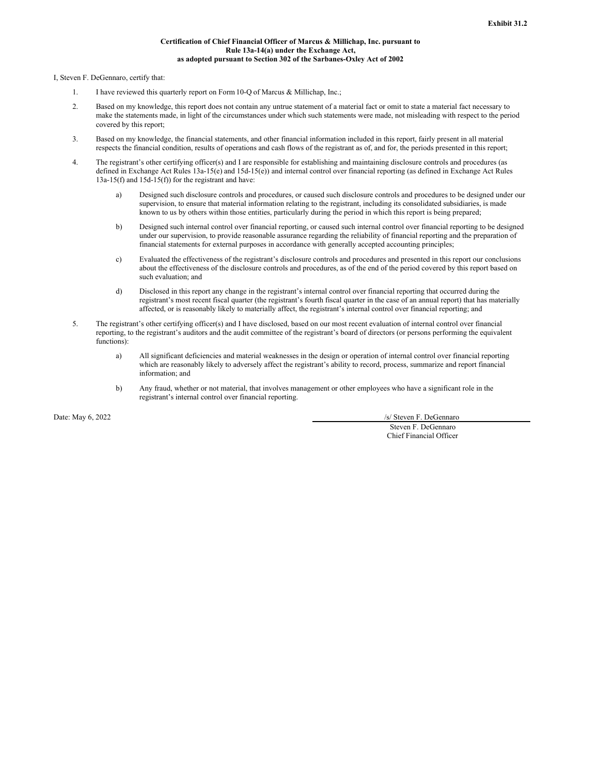# **Certification of Chief Financial Officer of Marcus & Millichap, Inc. pursuant to Rule 13a-14(a) under the Exchange Act, as adopted pursuant to Section 302 of the Sarbanes-Oxley Act of 2002**

<span id="page-39-0"></span>I, Steven F. DeGennaro, certify that:

- 1. I have reviewed this quarterly report on Form10-Q of Marcus & Millichap, Inc.;
- 2. Based on my knowledge, this report does not contain any untrue statement of a material fact or omit to state a material fact necessary to make the statements made, in light of the circumstances under which such statements were made, not misleading with respect to the period covered by this report;
- 3. Based on my knowledge, the financial statements, and other financial information included in this report, fairly present in all material respects the financial condition, results of operations and cash flows of the registrant as of, and for, the periods presented in this report;
- 4. The registrant's other certifying officer(s) and I are responsible for establishing and maintaining disclosure controls and procedures (as defined in Exchange Act Rules 13a-15(e) and 15d-15(e)) and internal control over financial reporting (as defined in Exchange Act Rules 13a-15(f) and 15d-15(f)) for the registrant and have:
	- a) Designed such disclosure controls and procedures, or caused such disclosure controls and procedures to be designed under our supervision, to ensure that material information relating to the registrant, including its consolidated subsidiaries, is made known to us by others within those entities, particularly during the period in which this report is being prepared;
	- b) Designed such internal control over financial reporting, or caused such internal control over financial reporting to be designed under our supervision, to provide reasonable assurance regarding the reliability of financial reporting and the preparation of financial statements for external purposes in accordance with generally accepted accounting principles;
	- c) Evaluated the effectiveness of the registrant's disclosure controls and procedures and presented in this report our conclusions about the effectiveness of the disclosure controls and procedures, as of the end of the period covered by this report based on such evaluation; and
	- d) Disclosed in this report any change in the registrant's internal control over financial reporting that occurred during the registrant's most recent fiscal quarter (the registrant's fourth fiscal quarter in the case of an annual report) that has materially affected, or is reasonably likely to materially affect, the registrant's internal control over financial reporting; and
- 5. The registrant's other certifying officer(s) and I have disclosed, based on our most recent evaluation of internal control over financial reporting, to the registrant's auditors and the audit committee of the registrant's board of directors (or persons performing the equivalent functions):
	- a) All significant deficiencies and material weaknesses in the design or operation of internal control over financial reporting which are reasonably likely to adversely affect the registrant's ability to record, process, summarize and report financial information; and
	- b) Any fraud, whether or not material, that involves management or other employees who have a significant role in the registrant's internal control over financial reporting.

Date: May 6, 2022 /s/ Steven F. DeGennaro

Steven F. DeGennaro Chief Financial Officer